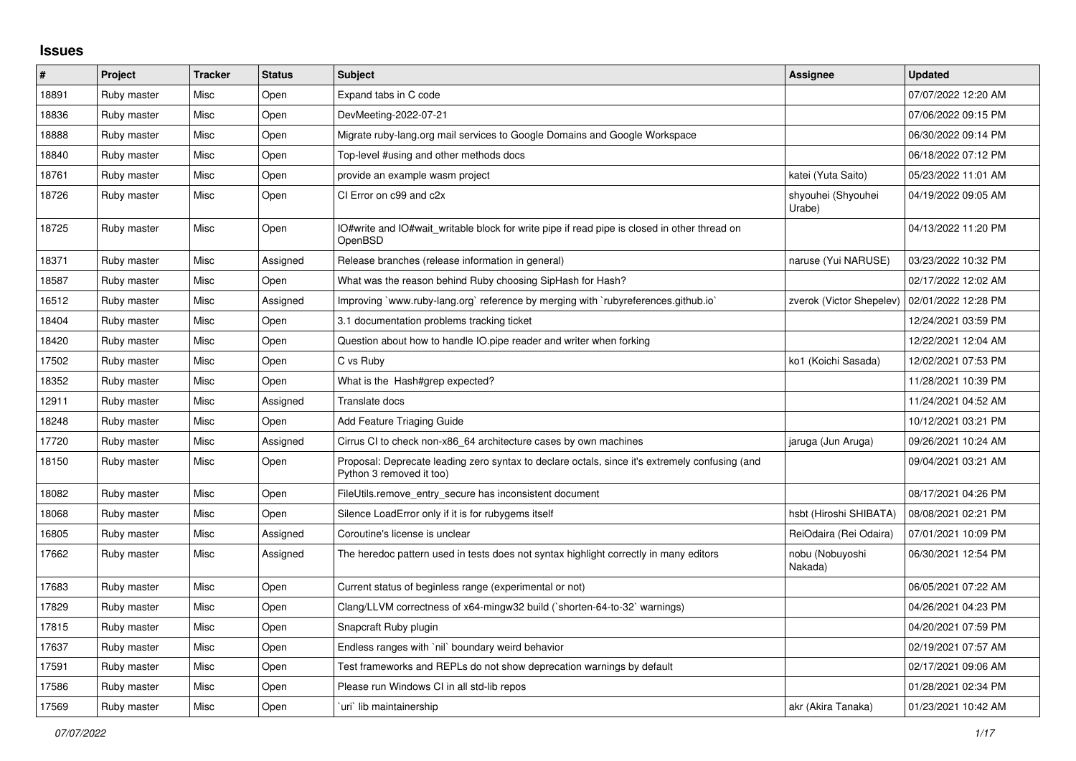## **Issues**

| $\sharp$ | Project     | <b>Tracker</b> | <b>Status</b> | <b>Subject</b>                                                                                                             | Assignee                     | <b>Updated</b>      |
|----------|-------------|----------------|---------------|----------------------------------------------------------------------------------------------------------------------------|------------------------------|---------------------|
| 18891    | Ruby master | Misc           | Open          | Expand tabs in C code                                                                                                      |                              | 07/07/2022 12:20 AM |
| 18836    | Ruby master | Misc           | Open          | DevMeeting-2022-07-21                                                                                                      |                              | 07/06/2022 09:15 PM |
| 18888    | Ruby master | Misc           | Open          | Migrate ruby-lang.org mail services to Google Domains and Google Workspace                                                 |                              | 06/30/2022 09:14 PM |
| 18840    | Ruby master | Misc           | Open          | Top-level #using and other methods docs                                                                                    |                              | 06/18/2022 07:12 PM |
| 18761    | Ruby master | Misc           | Open          | provide an example wasm project                                                                                            | katei (Yuta Saito)           | 05/23/2022 11:01 AM |
| 18726    | Ruby master | Misc           | Open          | CI Error on c99 and c2x                                                                                                    | shyouhei (Shyouhei<br>Urabe) | 04/19/2022 09:05 AM |
| 18725    | Ruby master | Misc           | Open          | IO#write and IO#wait writable block for write pipe if read pipe is closed in other thread on<br>OpenBSD                    |                              | 04/13/2022 11:20 PM |
| 18371    | Ruby master | Misc           | Assigned      | Release branches (release information in general)                                                                          | naruse (Yui NARUSE)          | 03/23/2022 10:32 PM |
| 18587    | Ruby master | Misc           | Open          | What was the reason behind Ruby choosing SipHash for Hash?                                                                 |                              | 02/17/2022 12:02 AM |
| 16512    | Ruby master | Misc           | Assigned      | Improving `www.ruby-lang.org` reference by merging with `rubyreferences.github.io`                                         | zverok (Victor Shepelev)     | 02/01/2022 12:28 PM |
| 18404    | Ruby master | Misc           | Open          | 3.1 documentation problems tracking ticket                                                                                 |                              | 12/24/2021 03:59 PM |
| 18420    | Ruby master | Misc           | Open          | Question about how to handle IO.pipe reader and writer when forking                                                        |                              | 12/22/2021 12:04 AM |
| 17502    | Ruby master | Misc           | Open          | C vs Ruby                                                                                                                  | ko1 (Koichi Sasada)          | 12/02/2021 07:53 PM |
| 18352    | Ruby master | Misc           | Open          | What is the Hash#grep expected?                                                                                            |                              | 11/28/2021 10:39 PM |
| 12911    | Ruby master | Misc           | Assigned      | Translate docs                                                                                                             |                              | 11/24/2021 04:52 AM |
| 18248    | Ruby master | Misc           | Open          | Add Feature Triaging Guide                                                                                                 |                              | 10/12/2021 03:21 PM |
| 17720    | Ruby master | Misc           | Assigned      | Cirrus CI to check non-x86_64 architecture cases by own machines                                                           | jaruga (Jun Aruga)           | 09/26/2021 10:24 AM |
| 18150    | Ruby master | Misc           | Open          | Proposal: Deprecate leading zero syntax to declare octals, since it's extremely confusing (and<br>Python 3 removed it too) |                              | 09/04/2021 03:21 AM |
| 18082    | Ruby master | Misc           | Open          | FileUtils.remove entry secure has inconsistent document                                                                    |                              | 08/17/2021 04:26 PM |
| 18068    | Ruby master | Misc           | Open          | Silence LoadError only if it is for rubygems itself                                                                        | hsbt (Hiroshi SHIBATA)       | 08/08/2021 02:21 PM |
| 16805    | Ruby master | Misc           | Assigned      | Coroutine's license is unclear                                                                                             | ReiOdaira (Rei Odaira)       | 07/01/2021 10:09 PM |
| 17662    | Ruby master | Misc           | Assigned      | The heredoc pattern used in tests does not syntax highlight correctly in many editors                                      | nobu (Nobuyoshi<br>Nakada)   | 06/30/2021 12:54 PM |
| 17683    | Ruby master | Misc           | Open          | Current status of beginless range (experimental or not)                                                                    |                              | 06/05/2021 07:22 AM |
| 17829    | Ruby master | Misc           | Open          | Clang/LLVM correctness of x64-mingw32 build (`shorten-64-to-32` warnings)                                                  |                              | 04/26/2021 04:23 PM |
| 17815    | Ruby master | Misc           | Open          | Snapcraft Ruby plugin                                                                                                      |                              | 04/20/2021 07:59 PM |
| 17637    | Ruby master | Misc           | Open          | Endless ranges with `nil` boundary weird behavior                                                                          |                              | 02/19/2021 07:57 AM |
| 17591    | Ruby master | Misc           | Open          | Test frameworks and REPLs do not show deprecation warnings by default                                                      |                              | 02/17/2021 09:06 AM |
| 17586    | Ruby master | Misc           | Open          | Please run Windows CI in all std-lib repos                                                                                 |                              | 01/28/2021 02:34 PM |
| 17569    | Ruby master | Misc           | Open          | uri lib maintainership                                                                                                     | akr (Akira Tanaka)           | 01/23/2021 10:42 AM |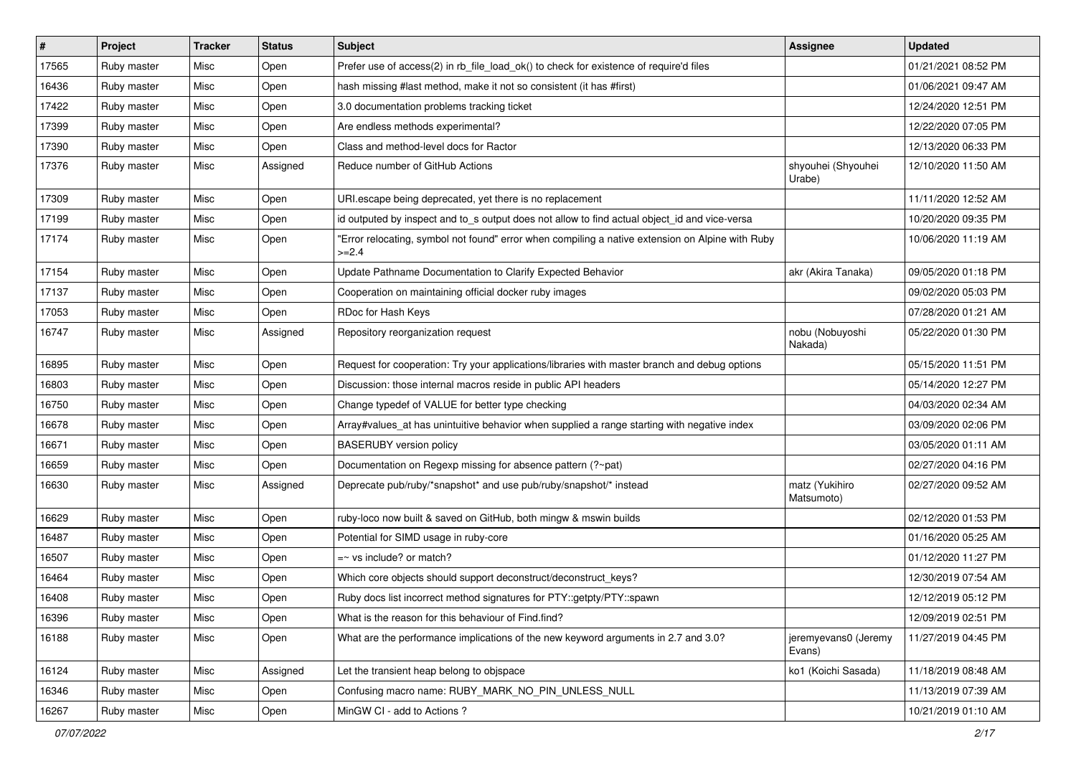| $\vert$ # | Project     | <b>Tracker</b> | <b>Status</b> | Subject                                                                                                     | Assignee                       | <b>Updated</b>      |
|-----------|-------------|----------------|---------------|-------------------------------------------------------------------------------------------------------------|--------------------------------|---------------------|
| 17565     | Ruby master | Misc           | Open          | Prefer use of access(2) in rb_file_load_ok() to check for existence of require'd files                      |                                | 01/21/2021 08:52 PM |
| 16436     | Ruby master | Misc           | Open          | hash missing #last method, make it not so consistent (it has #first)                                        |                                | 01/06/2021 09:47 AM |
| 17422     | Ruby master | Misc           | Open          | 3.0 documentation problems tracking ticket                                                                  |                                | 12/24/2020 12:51 PM |
| 17399     | Ruby master | Misc           | Open          | Are endless methods experimental?                                                                           |                                | 12/22/2020 07:05 PM |
| 17390     | Ruby master | Misc           | Open          | Class and method-level docs for Ractor                                                                      |                                | 12/13/2020 06:33 PM |
| 17376     | Ruby master | Misc           | Assigned      | Reduce number of GitHub Actions                                                                             | shyouhei (Shyouhei<br>Urabe)   | 12/10/2020 11:50 AM |
| 17309     | Ruby master | Misc           | Open          | URI.escape being deprecated, yet there is no replacement                                                    |                                | 11/11/2020 12:52 AM |
| 17199     | Ruby master | Misc           | Open          | id outputed by inspect and to_s output does not allow to find actual object_id and vice-versa               |                                | 10/20/2020 09:35 PM |
| 17174     | Ruby master | Misc           | Open          | 'Error relocating, symbol not found" error when compiling a native extension on Alpine with Ruby<br>$>=2.4$ |                                | 10/06/2020 11:19 AM |
| 17154     | Ruby master | Misc           | Open          | Update Pathname Documentation to Clarify Expected Behavior                                                  | akr (Akira Tanaka)             | 09/05/2020 01:18 PM |
| 17137     | Ruby master | Misc           | Open          | Cooperation on maintaining official docker ruby images                                                      |                                | 09/02/2020 05:03 PM |
| 17053     | Ruby master | Misc           | Open          | RDoc for Hash Keys                                                                                          |                                | 07/28/2020 01:21 AM |
| 16747     | Ruby master | Misc           | Assigned      | Repository reorganization request                                                                           | nobu (Nobuyoshi<br>Nakada)     | 05/22/2020 01:30 PM |
| 16895     | Ruby master | Misc           | Open          | Request for cooperation: Try your applications/libraries with master branch and debug options               |                                | 05/15/2020 11:51 PM |
| 16803     | Ruby master | Misc           | Open          | Discussion: those internal macros reside in public API headers                                              |                                | 05/14/2020 12:27 PM |
| 16750     | Ruby master | Misc           | Open          | Change typedef of VALUE for better type checking                                                            |                                | 04/03/2020 02:34 AM |
| 16678     | Ruby master | Misc           | Open          | Array#values_at has unintuitive behavior when supplied a range starting with negative index                 |                                | 03/09/2020 02:06 PM |
| 16671     | Ruby master | Misc           | Open          | <b>BASERUBY</b> version policy                                                                              |                                | 03/05/2020 01:11 AM |
| 16659     | Ruby master | Misc           | Open          | Documentation on Regexp missing for absence pattern (?~pat)                                                 |                                | 02/27/2020 04:16 PM |
| 16630     | Ruby master | Misc           | Assigned      | Deprecate pub/ruby/*snapshot* and use pub/ruby/snapshot/* instead                                           | matz (Yukihiro<br>Matsumoto)   | 02/27/2020 09:52 AM |
| 16629     | Ruby master | Misc           | Open          | ruby-loco now built & saved on GitHub, both mingw & mswin builds                                            |                                | 02/12/2020 01:53 PM |
| 16487     | Ruby master | Misc           | Open          | Potential for SIMD usage in ruby-core                                                                       |                                | 01/16/2020 05:25 AM |
| 16507     | Ruby master | Misc           | Open          | $=$ vs include? or match?                                                                                   |                                | 01/12/2020 11:27 PM |
| 16464     | Ruby master | Misc           | Open          | Which core objects should support deconstruct/deconstruct_keys?                                             |                                | 12/30/2019 07:54 AM |
| 16408     | Ruby master | Misc           | Open          | Ruby docs list incorrect method signatures for PTY::getpty/PTY::spawn                                       |                                | 12/12/2019 05:12 PM |
| 16396     | Ruby master | Misc           | Open          | What is the reason for this behaviour of Find.find?                                                         |                                | 12/09/2019 02:51 PM |
| 16188     | Ruby master | Misc           | Open          | What are the performance implications of the new keyword arguments in 2.7 and 3.0?                          | jeremyevans0 (Jeremy<br>Evans) | 11/27/2019 04:45 PM |
| 16124     | Ruby master | Misc           | Assigned      | Let the transient heap belong to objspace                                                                   | ko1 (Koichi Sasada)            | 11/18/2019 08:48 AM |
| 16346     | Ruby master | Misc           | Open          | Confusing macro name: RUBY_MARK_NO_PIN_UNLESS_NULL                                                          |                                | 11/13/2019 07:39 AM |
| 16267     | Ruby master | Misc           | Open          | MinGW CI - add to Actions ?                                                                                 |                                | 10/21/2019 01:10 AM |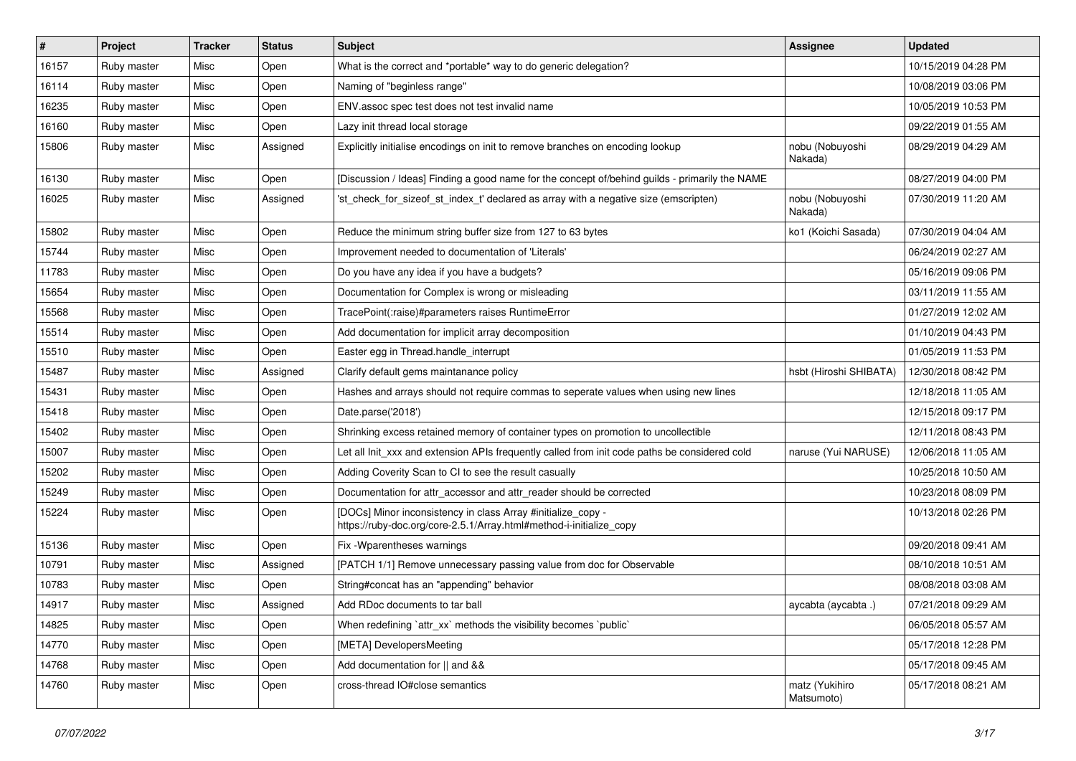| $\sharp$ | Project     | <b>Tracker</b> | <b>Status</b> | <b>Subject</b>                                                                                                                      | <b>Assignee</b>              | <b>Updated</b>      |
|----------|-------------|----------------|---------------|-------------------------------------------------------------------------------------------------------------------------------------|------------------------------|---------------------|
| 16157    | Ruby master | Misc           | Open          | What is the correct and *portable* way to do generic delegation?                                                                    |                              | 10/15/2019 04:28 PM |
| 16114    | Ruby master | Misc           | Open          | Naming of "beginless range"                                                                                                         |                              | 10/08/2019 03:06 PM |
| 16235    | Ruby master | Misc           | Open          | ENV assoc spec test does not test invalid name                                                                                      |                              | 10/05/2019 10:53 PM |
| 16160    | Ruby master | Misc           | Open          | Lazy init thread local storage                                                                                                      |                              | 09/22/2019 01:55 AM |
| 15806    | Ruby master | Misc           | Assigned      | Explicitly initialise encodings on init to remove branches on encoding lookup                                                       | nobu (Nobuyoshi<br>Nakada)   | 08/29/2019 04:29 AM |
| 16130    | Ruby master | Misc           | Open          | [Discussion / Ideas] Finding a good name for the concept of/behind guilds - primarily the NAME                                      |                              | 08/27/2019 04:00 PM |
| 16025    | Ruby master | Misc           | Assigned      | 'st_check_for_sizeof_st_index_t' declared as array with a negative size (emscripten)                                                | nobu (Nobuyoshi<br>Nakada)   | 07/30/2019 11:20 AM |
| 15802    | Ruby master | Misc           | Open          | Reduce the minimum string buffer size from 127 to 63 bytes                                                                          | ko1 (Koichi Sasada)          | 07/30/2019 04:04 AM |
| 15744    | Ruby master | Misc           | Open          | Improvement needed to documentation of 'Literals'                                                                                   |                              | 06/24/2019 02:27 AM |
| 11783    | Ruby master | Misc           | Open          | Do you have any idea if you have a budgets?                                                                                         |                              | 05/16/2019 09:06 PM |
| 15654    | Ruby master | Misc           | Open          | Documentation for Complex is wrong or misleading                                                                                    |                              | 03/11/2019 11:55 AM |
| 15568    | Ruby master | Misc           | Open          | TracePoint(:raise)#parameters raises RuntimeError                                                                                   |                              | 01/27/2019 12:02 AM |
| 15514    | Ruby master | Misc           | Open          | Add documentation for implicit array decomposition                                                                                  |                              | 01/10/2019 04:43 PM |
| 15510    | Ruby master | Misc           | Open          | Easter egg in Thread.handle_interrupt                                                                                               |                              | 01/05/2019 11:53 PM |
| 15487    | Ruby master | Misc           | Assigned      | Clarify default gems maintanance policy                                                                                             | hsbt (Hiroshi SHIBATA)       | 12/30/2018 08:42 PM |
| 15431    | Ruby master | Misc           | Open          | Hashes and arrays should not require commas to seperate values when using new lines                                                 |                              | 12/18/2018 11:05 AM |
| 15418    | Ruby master | Misc           | Open          | Date.parse('2018')                                                                                                                  |                              | 12/15/2018 09:17 PM |
| 15402    | Ruby master | Misc           | Open          | Shrinking excess retained memory of container types on promotion to uncollectible                                                   |                              | 12/11/2018 08:43 PM |
| 15007    | Ruby master | Misc           | Open          | Let all Init xxx and extension APIs frequently called from init code paths be considered cold                                       | naruse (Yui NARUSE)          | 12/06/2018 11:05 AM |
| 15202    | Ruby master | Misc           | Open          | Adding Coverity Scan to CI to see the result casually                                                                               |                              | 10/25/2018 10:50 AM |
| 15249    | Ruby master | Misc           | Open          | Documentation for attr_accessor and attr_reader should be corrected                                                                 |                              | 10/23/2018 08:09 PM |
| 15224    | Ruby master | Misc           | Open          | [DOCs] Minor inconsistency in class Array #initialize_copy -<br>https://ruby-doc.org/core-2.5.1/Array.html#method-i-initialize_copy |                              | 10/13/2018 02:26 PM |
| 15136    | Ruby master | Misc           | Open          | Fix - Wparentheses warnings                                                                                                         |                              | 09/20/2018 09:41 AM |
| 10791    | Ruby master | Misc           | Assigned      | [PATCH 1/1] Remove unnecessary passing value from doc for Observable                                                                |                              | 08/10/2018 10:51 AM |
| 10783    | Ruby master | Misc           | Open          | String#concat has an "appending" behavior                                                                                           |                              | 08/08/2018 03:08 AM |
| 14917    | Ruby master | Misc           | Assigned      | Add RDoc documents to tar ball                                                                                                      | aycabta (aycabta .)          | 07/21/2018 09:29 AM |
| 14825    | Ruby master | Misc           | Open          | When redefining 'attr_xx' methods the visibility becomes 'public'                                                                   |                              | 06/05/2018 05:57 AM |
| 14770    | Ruby master | Misc           | Open          | [META] DevelopersMeeting                                                                                                            |                              | 05/17/2018 12:28 PM |
| 14768    | Ruby master | Misc           | Open          | Add documentation for    and &&                                                                                                     |                              | 05/17/2018 09:45 AM |
| 14760    | Ruby master | Misc           | Open          | cross-thread IO#close semantics                                                                                                     | matz (Yukihiro<br>Matsumoto) | 05/17/2018 08:21 AM |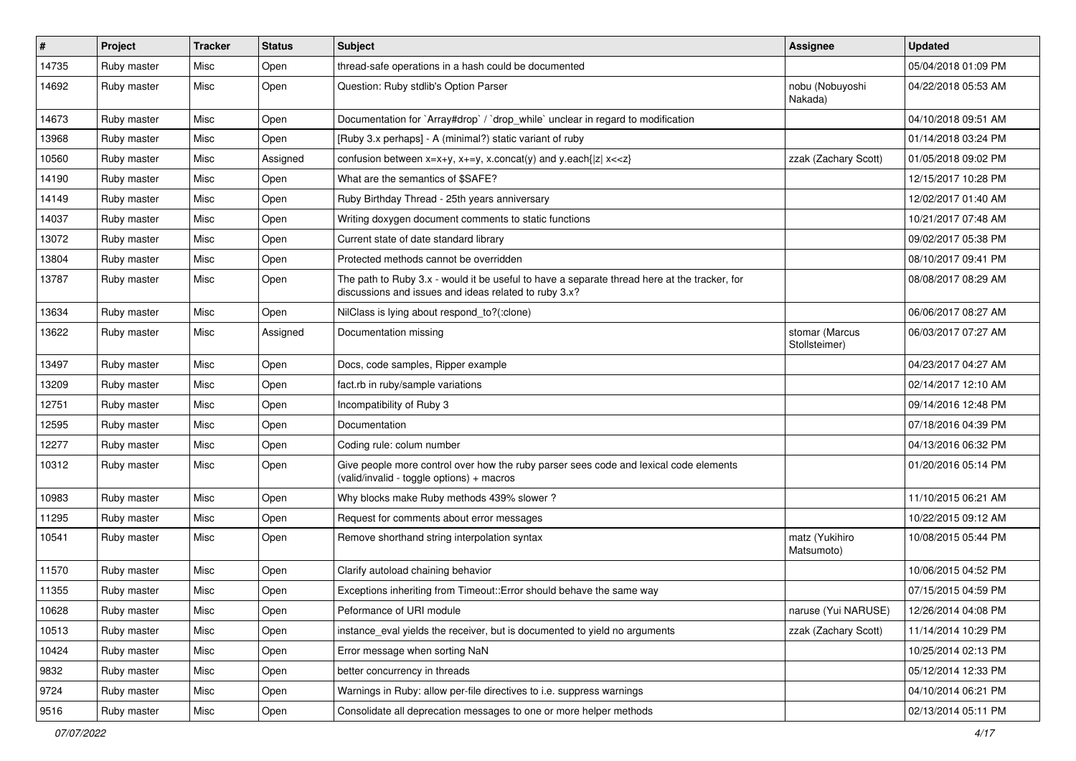| #     | Project     | <b>Tracker</b> | <b>Status</b> | <b>Subject</b>                                                                                                                                        | Assignee                        | <b>Updated</b>      |
|-------|-------------|----------------|---------------|-------------------------------------------------------------------------------------------------------------------------------------------------------|---------------------------------|---------------------|
| 14735 | Ruby master | Misc           | Open          | thread-safe operations in a hash could be documented                                                                                                  |                                 | 05/04/2018 01:09 PM |
| 14692 | Ruby master | Misc           | Open          | Question: Ruby stdlib's Option Parser                                                                                                                 | nobu (Nobuyoshi<br>Nakada)      | 04/22/2018 05:53 AM |
| 14673 | Ruby master | Misc           | Open          | Documentation for `Array#drop` / `drop_while` unclear in regard to modification                                                                       |                                 | 04/10/2018 09:51 AM |
| 13968 | Ruby master | Misc           | Open          | [Ruby 3.x perhaps] - A (minimal?) static variant of ruby                                                                                              |                                 | 01/14/2018 03:24 PM |
| 10560 | Ruby master | Misc           | Assigned      | confusion between $x=x+y$ , $x+=y$ , x.concat(y) and y.each{ z  $x<}$                                                                                 | zzak (Zachary Scott)            | 01/05/2018 09:02 PM |
| 14190 | Ruby master | Misc           | Open          | What are the semantics of \$SAFE?                                                                                                                     |                                 | 12/15/2017 10:28 PM |
| 14149 | Ruby master | Misc           | Open          | Ruby Birthday Thread - 25th years anniversary                                                                                                         |                                 | 12/02/2017 01:40 AM |
| 14037 | Ruby master | Misc           | Open          | Writing doxygen document comments to static functions                                                                                                 |                                 | 10/21/2017 07:48 AM |
| 13072 | Ruby master | Misc           | Open          | Current state of date standard library                                                                                                                |                                 | 09/02/2017 05:38 PM |
| 13804 | Ruby master | Misc           | Open          | Protected methods cannot be overridden                                                                                                                |                                 | 08/10/2017 09:41 PM |
| 13787 | Ruby master | Misc           | Open          | The path to Ruby 3.x - would it be useful to have a separate thread here at the tracker, for<br>discussions and issues and ideas related to ruby 3.x? |                                 | 08/08/2017 08:29 AM |
| 13634 | Ruby master | Misc           | Open          | NilClass is lying about respond to?(:clone)                                                                                                           |                                 | 06/06/2017 08:27 AM |
| 13622 | Ruby master | Misc           | Assigned      | Documentation missing                                                                                                                                 | stomar (Marcus<br>Stollsteimer) | 06/03/2017 07:27 AM |
| 13497 | Ruby master | Misc           | Open          | Docs, code samples, Ripper example                                                                                                                    |                                 | 04/23/2017 04:27 AM |
| 13209 | Ruby master | Misc           | Open          | fact.rb in ruby/sample variations                                                                                                                     |                                 | 02/14/2017 12:10 AM |
| 12751 | Ruby master | Misc           | Open          | Incompatibility of Ruby 3                                                                                                                             |                                 | 09/14/2016 12:48 PM |
| 12595 | Ruby master | Misc           | Open          | Documentation                                                                                                                                         |                                 | 07/18/2016 04:39 PM |
| 12277 | Ruby master | Misc           | Open          | Coding rule: colum number                                                                                                                             |                                 | 04/13/2016 06:32 PM |
| 10312 | Ruby master | Misc           | Open          | Give people more control over how the ruby parser sees code and lexical code elements<br>(valid/invalid - toggle options) + macros                    |                                 | 01/20/2016 05:14 PM |
| 10983 | Ruby master | Misc           | Open          | Why blocks make Ruby methods 439% slower?                                                                                                             |                                 | 11/10/2015 06:21 AM |
| 11295 | Ruby master | Misc           | Open          | Request for comments about error messages                                                                                                             |                                 | 10/22/2015 09:12 AM |
| 10541 | Ruby master | Misc           | Open          | Remove shorthand string interpolation syntax                                                                                                          | matz (Yukihiro<br>Matsumoto)    | 10/08/2015 05:44 PM |
| 11570 | Ruby master | Misc           | Open          | Clarify autoload chaining behavior                                                                                                                    |                                 | 10/06/2015 04:52 PM |
| 11355 | Ruby master | Misc           | Open          | Exceptions inheriting from Timeout:: Error should behave the same way                                                                                 |                                 | 07/15/2015 04:59 PM |
| 10628 | Ruby master | Misc           | Open          | Peformance of URI module                                                                                                                              | naruse (Yui NARUSE)             | 12/26/2014 04:08 PM |
| 10513 | Ruby master | Misc           | Open          | instance_eval yields the receiver, but is documented to yield no arguments                                                                            | zzak (Zachary Scott)            | 11/14/2014 10:29 PM |
| 10424 | Ruby master | Misc           | Open          | Error message when sorting NaN                                                                                                                        |                                 | 10/25/2014 02:13 PM |
| 9832  | Ruby master | Misc           | Open          | better concurrency in threads                                                                                                                         |                                 | 05/12/2014 12:33 PM |
| 9724  | Ruby master | Misc           | Open          | Warnings in Ruby: allow per-file directives to i.e. suppress warnings                                                                                 |                                 | 04/10/2014 06:21 PM |
| 9516  | Ruby master | Misc           | Open          | Consolidate all deprecation messages to one or more helper methods                                                                                    |                                 | 02/13/2014 05:11 PM |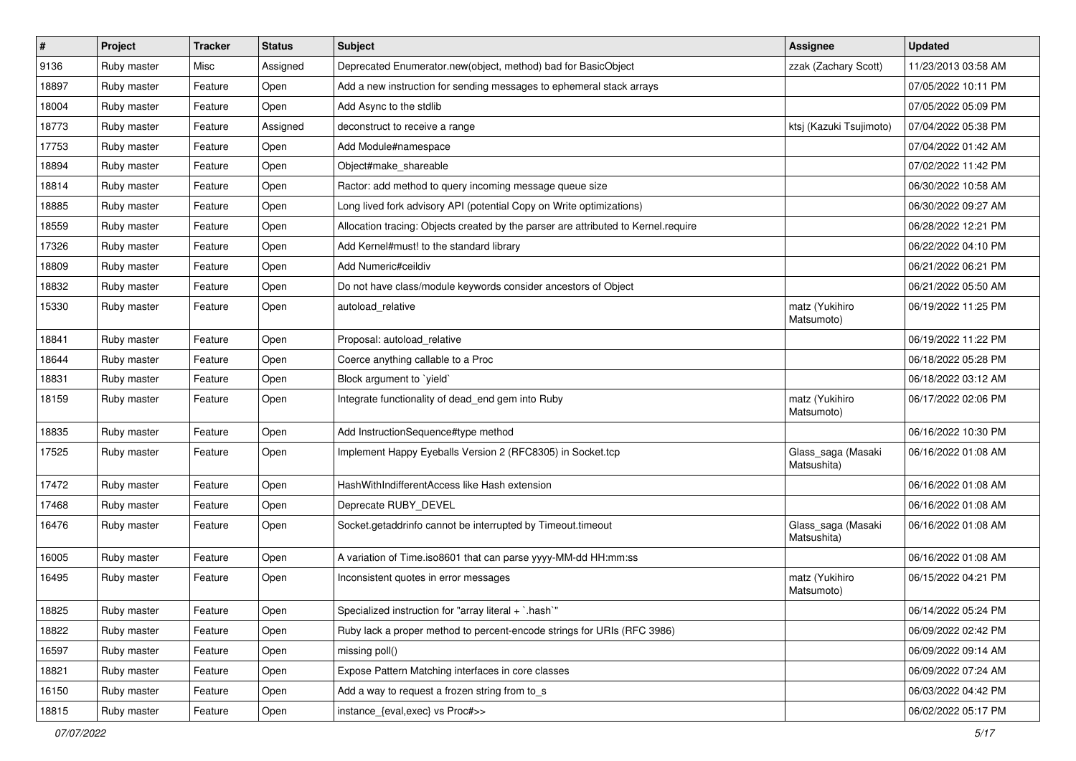| $\vert$ # | Project     | <b>Tracker</b> | <b>Status</b> | <b>Subject</b>                                                                     | Assignee                          | <b>Updated</b>      |
|-----------|-------------|----------------|---------------|------------------------------------------------------------------------------------|-----------------------------------|---------------------|
| 9136      | Ruby master | Misc           | Assigned      | Deprecated Enumerator.new(object, method) bad for BasicObject                      | zzak (Zachary Scott)              | 11/23/2013 03:58 AM |
| 18897     | Ruby master | Feature        | Open          | Add a new instruction for sending messages to ephemeral stack arrays               |                                   | 07/05/2022 10:11 PM |
| 18004     | Ruby master | Feature        | Open          | Add Async to the stdlib                                                            |                                   | 07/05/2022 05:09 PM |
| 18773     | Ruby master | Feature        | Assigned      | deconstruct to receive a range                                                     | ktsj (Kazuki Tsujimoto)           | 07/04/2022 05:38 PM |
| 17753     | Ruby master | Feature        | Open          | Add Module#namespace                                                               |                                   | 07/04/2022 01:42 AM |
| 18894     | Ruby master | Feature        | Open          | Object#make shareable                                                              |                                   | 07/02/2022 11:42 PM |
| 18814     | Ruby master | Feature        | Open          | Ractor: add method to query incoming message queue size                            |                                   | 06/30/2022 10:58 AM |
| 18885     | Ruby master | Feature        | Open          | Long lived fork advisory API (potential Copy on Write optimizations)               |                                   | 06/30/2022 09:27 AM |
| 18559     | Ruby master | Feature        | Open          | Allocation tracing: Objects created by the parser are attributed to Kernel.require |                                   | 06/28/2022 12:21 PM |
| 17326     | Ruby master | Feature        | Open          | Add Kernel#must! to the standard library                                           |                                   | 06/22/2022 04:10 PM |
| 18809     | Ruby master | Feature        | Open          | Add Numeric#ceildiv                                                                |                                   | 06/21/2022 06:21 PM |
| 18832     | Ruby master | Feature        | Open          | Do not have class/module keywords consider ancestors of Object                     |                                   | 06/21/2022 05:50 AM |
| 15330     | Ruby master | Feature        | Open          | autoload_relative                                                                  | matz (Yukihiro<br>Matsumoto)      | 06/19/2022 11:25 PM |
| 18841     | Ruby master | Feature        | Open          | Proposal: autoload relative                                                        |                                   | 06/19/2022 11:22 PM |
| 18644     | Ruby master | Feature        | Open          | Coerce anything callable to a Proc                                                 |                                   | 06/18/2022 05:28 PM |
| 18831     | Ruby master | Feature        | Open          | Block argument to 'yield'                                                          |                                   | 06/18/2022 03:12 AM |
| 18159     | Ruby master | Feature        | Open          | Integrate functionality of dead_end gem into Ruby                                  | matz (Yukihiro<br>Matsumoto)      | 06/17/2022 02:06 PM |
| 18835     | Ruby master | Feature        | Open          | Add InstructionSequence#type method                                                |                                   | 06/16/2022 10:30 PM |
| 17525     | Ruby master | Feature        | Open          | Implement Happy Eyeballs Version 2 (RFC8305) in Socket.tcp                         | Glass_saga (Masaki<br>Matsushita) | 06/16/2022 01:08 AM |
| 17472     | Ruby master | Feature        | Open          | HashWithIndifferentAccess like Hash extension                                      |                                   | 06/16/2022 01:08 AM |
| 17468     | Ruby master | Feature        | Open          | Deprecate RUBY_DEVEL                                                               |                                   | 06/16/2022 01:08 AM |
| 16476     | Ruby master | Feature        | Open          | Socket.getaddrinfo cannot be interrupted by Timeout.timeout                        | Glass_saga (Masaki<br>Matsushita) | 06/16/2022 01:08 AM |
| 16005     | Ruby master | Feature        | Open          | A variation of Time.iso8601 that can parse yyyy-MM-dd HH:mm:ss                     |                                   | 06/16/2022 01:08 AM |
| 16495     | Ruby master | Feature        | Open          | Inconsistent quotes in error messages                                              | matz (Yukihiro<br>Matsumoto)      | 06/15/2022 04:21 PM |
| 18825     | Ruby master | Feature        | Open          | Specialized instruction for "array literal + `.hash`"                              |                                   | 06/14/2022 05:24 PM |
| 18822     | Ruby master | Feature        | Open          | Ruby lack a proper method to percent-encode strings for URIs (RFC 3986)            |                                   | 06/09/2022 02:42 PM |
| 16597     | Ruby master | Feature        | Open          | missing poll()                                                                     |                                   | 06/09/2022 09:14 AM |
| 18821     | Ruby master | Feature        | Open          | Expose Pattern Matching interfaces in core classes                                 |                                   | 06/09/2022 07:24 AM |
| 16150     | Ruby master | Feature        | Open          | Add a way to request a frozen string from to_s                                     |                                   | 06/03/2022 04:42 PM |
| 18815     | Ruby master | Feature        | Open          | instance_{eval,exec} vs Proc#>>                                                    |                                   | 06/02/2022 05:17 PM |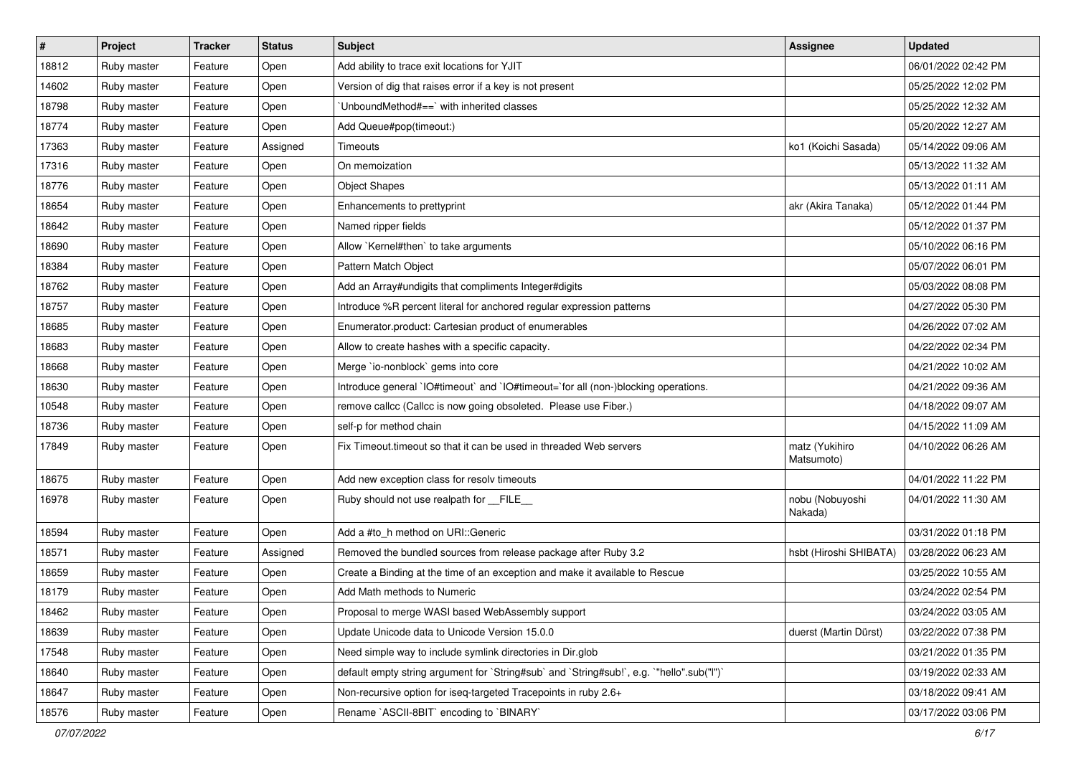| $\vert$ # | Project     | <b>Tracker</b> | <b>Status</b> | <b>Subject</b>                                                                            | Assignee                     | <b>Updated</b>      |
|-----------|-------------|----------------|---------------|-------------------------------------------------------------------------------------------|------------------------------|---------------------|
| 18812     | Ruby master | Feature        | Open          | Add ability to trace exit locations for YJIT                                              |                              | 06/01/2022 02:42 PM |
| 14602     | Ruby master | Feature        | Open          | Version of dig that raises error if a key is not present                                  |                              | 05/25/2022 12:02 PM |
| 18798     | Ruby master | Feature        | Open          | 'UnboundMethod#==' with inherited classes                                                 |                              | 05/25/2022 12:32 AM |
| 18774     | Ruby master | Feature        | Open          | Add Queue#pop(timeout:)                                                                   |                              | 05/20/2022 12:27 AM |
| 17363     | Ruby master | Feature        | Assigned      | Timeouts                                                                                  | ko1 (Koichi Sasada)          | 05/14/2022 09:06 AM |
| 17316     | Ruby master | Feature        | Open          | On memoization                                                                            |                              | 05/13/2022 11:32 AM |
| 18776     | Ruby master | Feature        | Open          | <b>Object Shapes</b>                                                                      |                              | 05/13/2022 01:11 AM |
| 18654     | Ruby master | Feature        | Open          | Enhancements to prettyprint                                                               | akr (Akira Tanaka)           | 05/12/2022 01:44 PM |
| 18642     | Ruby master | Feature        | Open          | Named ripper fields                                                                       |                              | 05/12/2022 01:37 PM |
| 18690     | Ruby master | Feature        | Open          | Allow `Kernel#then` to take arguments                                                     |                              | 05/10/2022 06:16 PM |
| 18384     | Ruby master | Feature        | Open          | Pattern Match Object                                                                      |                              | 05/07/2022 06:01 PM |
| 18762     | Ruby master | Feature        | Open          | Add an Array#undigits that compliments Integer#digits                                     |                              | 05/03/2022 08:08 PM |
| 18757     | Ruby master | Feature        | Open          | Introduce %R percent literal for anchored regular expression patterns                     |                              | 04/27/2022 05:30 PM |
| 18685     | Ruby master | Feature        | Open          | Enumerator.product: Cartesian product of enumerables                                      |                              | 04/26/2022 07:02 AM |
| 18683     | Ruby master | Feature        | Open          | Allow to create hashes with a specific capacity.                                          |                              | 04/22/2022 02:34 PM |
| 18668     | Ruby master | Feature        | Open          | Merge `io-nonblock` gems into core                                                        |                              | 04/21/2022 10:02 AM |
| 18630     | Ruby master | Feature        | Open          | Introduce general `IO#timeout` and `IO#timeout=`for all (non-)blocking operations.        |                              | 04/21/2022 09:36 AM |
| 10548     | Ruby master | Feature        | Open          | remove callcc (Callcc is now going obsoleted. Please use Fiber.)                          |                              | 04/18/2022 09:07 AM |
| 18736     | Ruby master | Feature        | Open          | self-p for method chain                                                                   |                              | 04/15/2022 11:09 AM |
| 17849     | Ruby master | Feature        | Open          | Fix Timeout timeout so that it can be used in threaded Web servers                        | matz (Yukihiro<br>Matsumoto) | 04/10/2022 06:26 AM |
| 18675     | Ruby master | Feature        | Open          | Add new exception class for resolv timeouts                                               |                              | 04/01/2022 11:22 PM |
| 16978     | Ruby master | Feature        | Open          | Ruby should not use realpath for __FILE__                                                 | nobu (Nobuyoshi<br>Nakada)   | 04/01/2022 11:30 AM |
| 18594     | Ruby master | Feature        | Open          | Add a #to_h method on URI::Generic                                                        |                              | 03/31/2022 01:18 PM |
| 18571     | Ruby master | Feature        | Assigned      | Removed the bundled sources from release package after Ruby 3.2                           | hsbt (Hiroshi SHIBATA)       | 03/28/2022 06:23 AM |
| 18659     | Ruby master | Feature        | Open          | Create a Binding at the time of an exception and make it available to Rescue              |                              | 03/25/2022 10:55 AM |
| 18179     | Ruby master | Feature        | Open          | Add Math methods to Numeric                                                               |                              | 03/24/2022 02:54 PM |
| 18462     | Ruby master | Feature        | Open          | Proposal to merge WASI based WebAssembly support                                          |                              | 03/24/2022 03:05 AM |
| 18639     | Ruby master | Feature        | Open          | Update Unicode data to Unicode Version 15.0.0                                             | duerst (Martin Dürst)        | 03/22/2022 07:38 PM |
| 17548     | Ruby master | Feature        | Open          | Need simple way to include symlink directories in Dir.glob                                |                              | 03/21/2022 01:35 PM |
| 18640     | Ruby master | Feature        | Open          | default empty string argument for `String#sub` and `String#sub!`, e.g. `"hello".sub("I")` |                              | 03/19/2022 02:33 AM |
| 18647     | Ruby master | Feature        | Open          | Non-recursive option for iseq-targeted Tracepoints in ruby 2.6+                           |                              | 03/18/2022 09:41 AM |
| 18576     | Ruby master | Feature        | Open          | Rename `ASCII-8BIT` encoding to `BINARY`                                                  |                              | 03/17/2022 03:06 PM |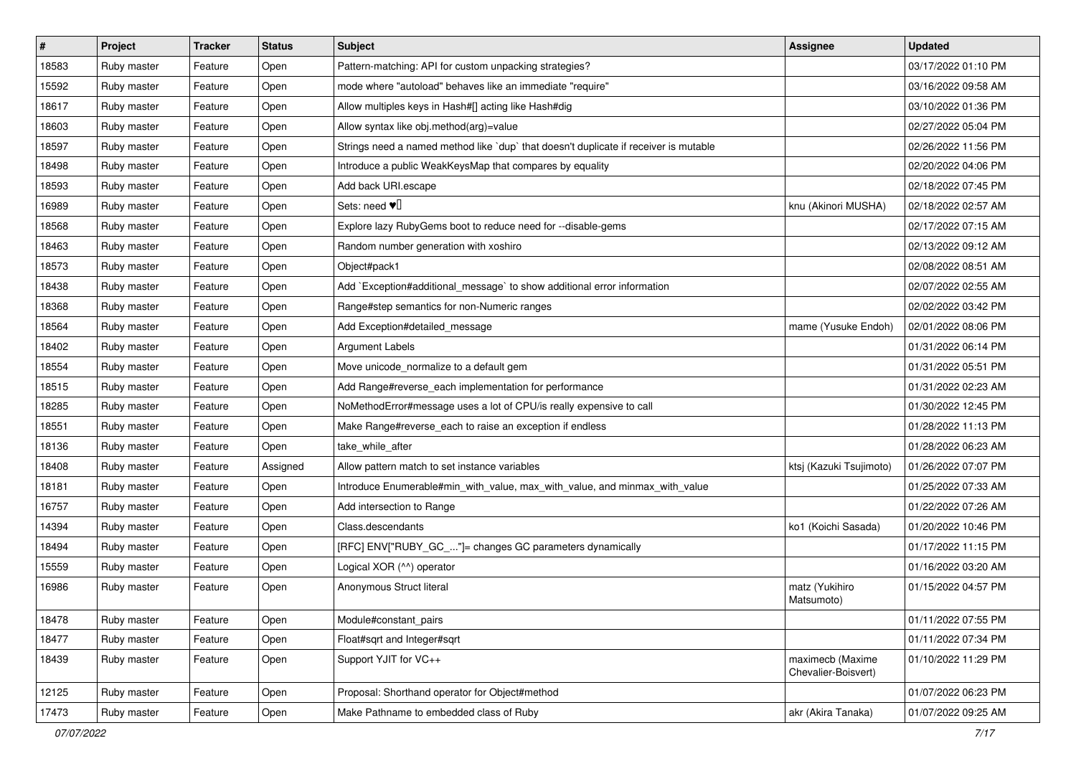| $\sharp$ | Project     | <b>Tracker</b> | <b>Status</b> | <b>Subject</b>                                                                       | <b>Assignee</b>                         | <b>Updated</b>      |
|----------|-------------|----------------|---------------|--------------------------------------------------------------------------------------|-----------------------------------------|---------------------|
| 18583    | Ruby master | Feature        | Open          | Pattern-matching: API for custom unpacking strategies?                               |                                         | 03/17/2022 01:10 PM |
| 15592    | Ruby master | Feature        | Open          | mode where "autoload" behaves like an immediate "require"                            |                                         | 03/16/2022 09:58 AM |
| 18617    | Ruby master | Feature        | Open          | Allow multiples keys in Hash#[] acting like Hash#dig                                 |                                         | 03/10/2022 01:36 PM |
| 18603    | Ruby master | Feature        | Open          | Allow syntax like obj.method(arg)=value                                              |                                         | 02/27/2022 05:04 PM |
| 18597    | Ruby master | Feature        | Open          | Strings need a named method like 'dup' that doesn't duplicate if receiver is mutable |                                         | 02/26/2022 11:56 PM |
| 18498    | Ruby master | Feature        | Open          | Introduce a public WeakKeysMap that compares by equality                             |                                         | 02/20/2022 04:06 PM |
| 18593    | Ruby master | Feature        | Open          | Add back URI.escape                                                                  |                                         | 02/18/2022 07:45 PM |
| 16989    | Ruby master | Feature        | Open          | Sets: need $\Psi$                                                                    | knu (Akinori MUSHA)                     | 02/18/2022 02:57 AM |
| 18568    | Ruby master | Feature        | Open          | Explore lazy RubyGems boot to reduce need for --disable-gems                         |                                         | 02/17/2022 07:15 AM |
| 18463    | Ruby master | Feature        | Open          | Random number generation with xoshiro                                                |                                         | 02/13/2022 09:12 AM |
| 18573    | Ruby master | Feature        | Open          | Object#pack1                                                                         |                                         | 02/08/2022 08:51 AM |
| 18438    | Ruby master | Feature        | Open          | Add `Exception#additional_message` to show additional error information              |                                         | 02/07/2022 02:55 AM |
| 18368    | Ruby master | Feature        | Open          | Range#step semantics for non-Numeric ranges                                          |                                         | 02/02/2022 03:42 PM |
| 18564    | Ruby master | Feature        | Open          | Add Exception#detailed_message                                                       | mame (Yusuke Endoh)                     | 02/01/2022 08:06 PM |
| 18402    | Ruby master | Feature        | Open          | <b>Argument Labels</b>                                                               |                                         | 01/31/2022 06:14 PM |
| 18554    | Ruby master | Feature        | Open          | Move unicode_normalize to a default gem                                              |                                         | 01/31/2022 05:51 PM |
| 18515    | Ruby master | Feature        | Open          | Add Range#reverse_each implementation for performance                                |                                         | 01/31/2022 02:23 AM |
| 18285    | Ruby master | Feature        | Open          | NoMethodError#message uses a lot of CPU/is really expensive to call                  |                                         | 01/30/2022 12:45 PM |
| 18551    | Ruby master | Feature        | Open          | Make Range#reverse_each to raise an exception if endless                             |                                         | 01/28/2022 11:13 PM |
| 18136    | Ruby master | Feature        | Open          | take_while_after                                                                     |                                         | 01/28/2022 06:23 AM |
| 18408    | Ruby master | Feature        | Assigned      | Allow pattern match to set instance variables                                        | ktsj (Kazuki Tsujimoto)                 | 01/26/2022 07:07 PM |
| 18181    | Ruby master | Feature        | Open          | Introduce Enumerable#min_with_value, max_with_value, and minmax_with_value           |                                         | 01/25/2022 07:33 AM |
| 16757    | Ruby master | Feature        | Open          | Add intersection to Range                                                            |                                         | 01/22/2022 07:26 AM |
| 14394    | Ruby master | Feature        | Open          | Class.descendants                                                                    | ko1 (Koichi Sasada)                     | 01/20/2022 10:46 PM |
| 18494    | Ruby master | Feature        | Open          | [RFC] ENV["RUBY_GC_"]= changes GC parameters dynamically                             |                                         | 01/17/2022 11:15 PM |
| 15559    | Ruby master | Feature        | Open          | Logical XOR (^^) operator                                                            |                                         | 01/16/2022 03:20 AM |
| 16986    | Ruby master | Feature        | Open          | Anonymous Struct literal                                                             | matz (Yukihiro<br>Matsumoto)            | 01/15/2022 04:57 PM |
| 18478    | Ruby master | Feature        | Open          | Module#constant pairs                                                                |                                         | 01/11/2022 07:55 PM |
| 18477    | Ruby master | Feature        | Open          | Float#sqrt and Integer#sqrt                                                          |                                         | 01/11/2022 07:34 PM |
| 18439    | Ruby master | Feature        | Open          | Support YJIT for VC++                                                                | maximecb (Maxime<br>Chevalier-Boisvert) | 01/10/2022 11:29 PM |
| 12125    | Ruby master | Feature        | Open          | Proposal: Shorthand operator for Object#method                                       |                                         | 01/07/2022 06:23 PM |
| 17473    | Ruby master | Feature        | Open          | Make Pathname to embedded class of Ruby                                              | akr (Akira Tanaka)                      | 01/07/2022 09:25 AM |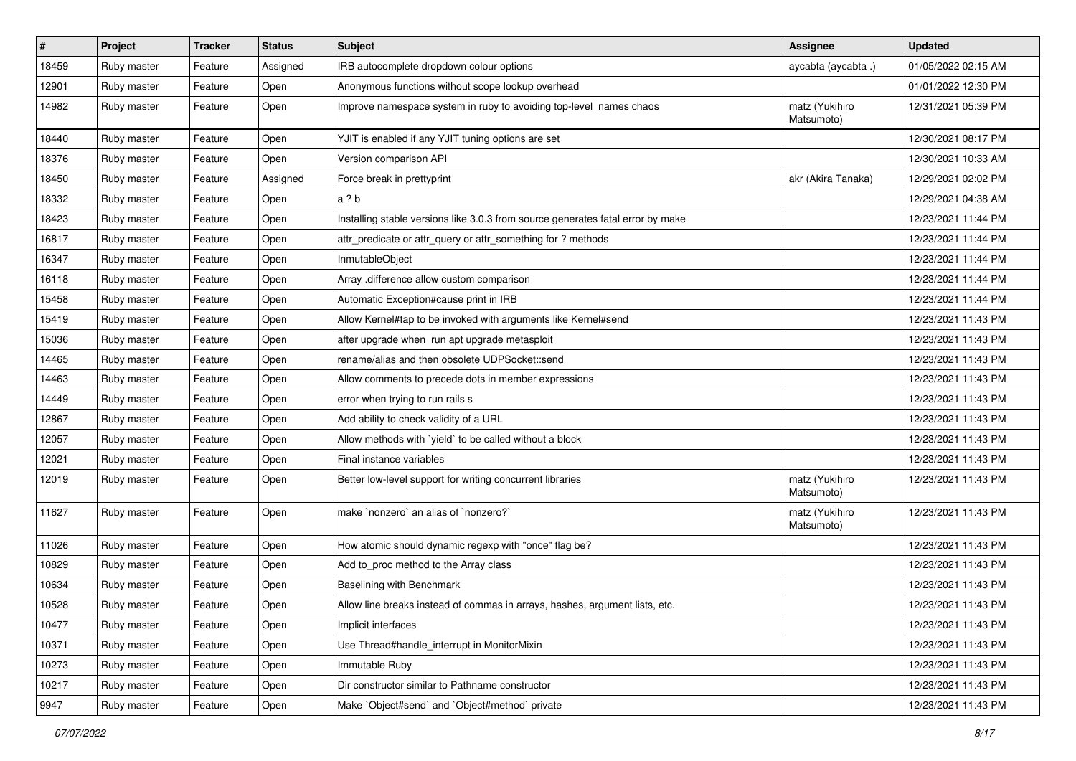| $\sharp$ | Project     | <b>Tracker</b> | <b>Status</b> | Subject                                                                         | Assignee                     | <b>Updated</b>      |
|----------|-------------|----------------|---------------|---------------------------------------------------------------------------------|------------------------------|---------------------|
| 18459    | Ruby master | Feature        | Assigned      | IRB autocomplete dropdown colour options                                        | aycabta (aycabta.)           | 01/05/2022 02:15 AM |
| 12901    | Ruby master | Feature        | Open          | Anonymous functions without scope lookup overhead                               |                              | 01/01/2022 12:30 PM |
| 14982    | Ruby master | Feature        | Open          | Improve namespace system in ruby to avoiding top-level names chaos              | matz (Yukihiro<br>Matsumoto) | 12/31/2021 05:39 PM |
| 18440    | Ruby master | Feature        | Open          | YJIT is enabled if any YJIT tuning options are set                              |                              | 12/30/2021 08:17 PM |
| 18376    | Ruby master | Feature        | Open          | Version comparison API                                                          |                              | 12/30/2021 10:33 AM |
| 18450    | Ruby master | Feature        | Assigned      | Force break in prettyprint                                                      | akr (Akira Tanaka)           | 12/29/2021 02:02 PM |
| 18332    | Ruby master | Feature        | Open          | a ? b                                                                           |                              | 12/29/2021 04:38 AM |
| 18423    | Ruby master | Feature        | Open          | Installing stable versions like 3.0.3 from source generates fatal error by make |                              | 12/23/2021 11:44 PM |
| 16817    | Ruby master | Feature        | Open          | attr_predicate or attr_query or attr_something for ? methods                    |                              | 12/23/2021 11:44 PM |
| 16347    | Ruby master | Feature        | Open          | InmutableObject                                                                 |                              | 12/23/2021 11:44 PM |
| 16118    | Ruby master | Feature        | Open          | Array .difference allow custom comparison                                       |                              | 12/23/2021 11:44 PM |
| 15458    | Ruby master | Feature        | Open          | Automatic Exception#cause print in IRB                                          |                              | 12/23/2021 11:44 PM |
| 15419    | Ruby master | Feature        | Open          | Allow Kernel#tap to be invoked with arguments like Kernel#send                  |                              | 12/23/2021 11:43 PM |
| 15036    | Ruby master | Feature        | Open          | after upgrade when run apt upgrade metasploit                                   |                              | 12/23/2021 11:43 PM |
| 14465    | Ruby master | Feature        | Open          | rename/alias and then obsolete UDPSocket::send                                  |                              | 12/23/2021 11:43 PM |
| 14463    | Ruby master | Feature        | Open          | Allow comments to precede dots in member expressions                            |                              | 12/23/2021 11:43 PM |
| 14449    | Ruby master | Feature        | Open          | error when trying to run rails s                                                |                              | 12/23/2021 11:43 PM |
| 12867    | Ruby master | Feature        | Open          | Add ability to check validity of a URL                                          |                              | 12/23/2021 11:43 PM |
| 12057    | Ruby master | Feature        | Open          | Allow methods with `yield` to be called without a block                         |                              | 12/23/2021 11:43 PM |
| 12021    | Ruby master | Feature        | Open          | Final instance variables                                                        |                              | 12/23/2021 11:43 PM |
| 12019    | Ruby master | Feature        | Open          | Better low-level support for writing concurrent libraries                       | matz (Yukihiro<br>Matsumoto) | 12/23/2021 11:43 PM |
| 11627    | Ruby master | Feature        | Open          | make `nonzero` an alias of `nonzero?`                                           | matz (Yukihiro<br>Matsumoto) | 12/23/2021 11:43 PM |
| 11026    | Ruby master | Feature        | Open          | How atomic should dynamic regexp with "once" flag be?                           |                              | 12/23/2021 11:43 PM |
| 10829    | Ruby master | Feature        | Open          | Add to_proc method to the Array class                                           |                              | 12/23/2021 11:43 PM |
| 10634    | Ruby master | Feature        | Open          | Baselining with Benchmark                                                       |                              | 12/23/2021 11:43 PM |
| 10528    | Ruby master | Feature        | Open          | Allow line breaks instead of commas in arrays, hashes, argument lists, etc.     |                              | 12/23/2021 11:43 PM |
| 10477    | Ruby master | Feature        | Open          | Implicit interfaces                                                             |                              | 12/23/2021 11:43 PM |
| 10371    | Ruby master | Feature        | Open          | Use Thread#handle_interrupt in MonitorMixin                                     |                              | 12/23/2021 11:43 PM |
| 10273    | Ruby master | Feature        | Open          | Immutable Ruby                                                                  |                              | 12/23/2021 11:43 PM |
| 10217    | Ruby master | Feature        | Open          | Dir constructor similar to Pathname constructor                                 |                              | 12/23/2021 11:43 PM |
| 9947     | Ruby master | Feature        | Open          | Make `Object#send` and `Object#method` private                                  |                              | 12/23/2021 11:43 PM |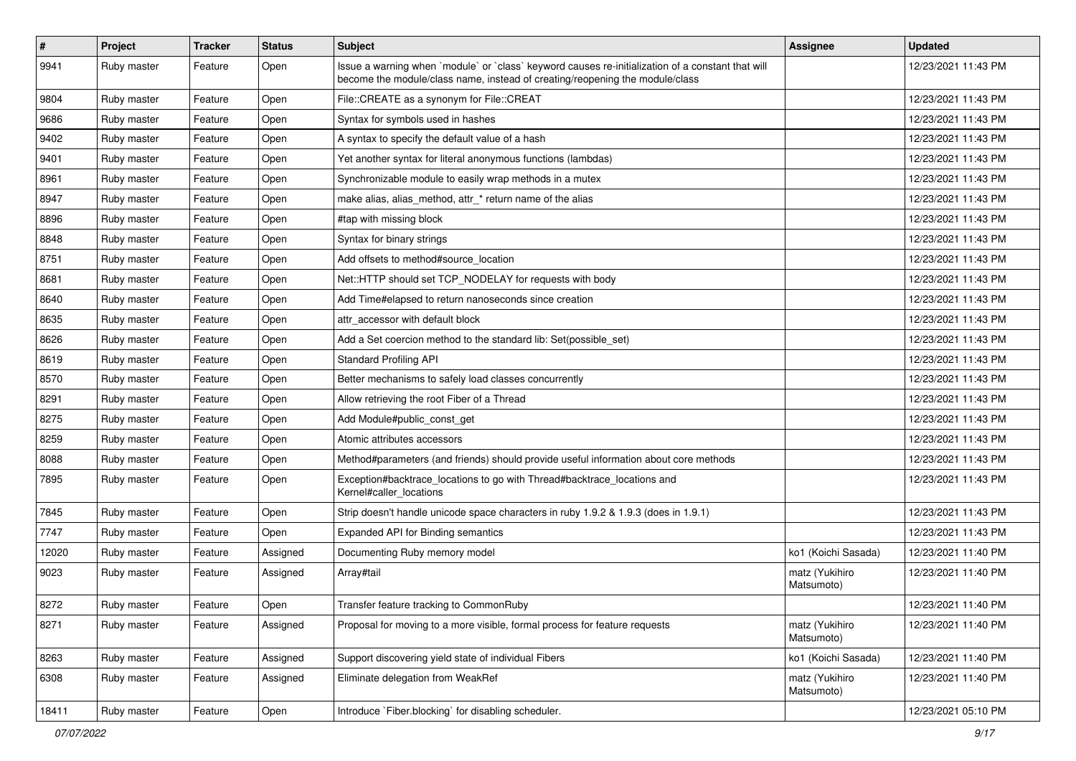| $\sharp$ | Project     | <b>Tracker</b> | <b>Status</b> | Subject                                                                                                                                                                           | Assignee                     | <b>Updated</b>      |
|----------|-------------|----------------|---------------|-----------------------------------------------------------------------------------------------------------------------------------------------------------------------------------|------------------------------|---------------------|
| 9941     | Ruby master | Feature        | Open          | Issue a warning when `module` or `class` keyword causes re-initialization of a constant that will<br>become the module/class name, instead of creating/reopening the module/class |                              | 12/23/2021 11:43 PM |
| 9804     | Ruby master | Feature        | Open          | File::CREATE as a synonym for File::CREAT                                                                                                                                         |                              | 12/23/2021 11:43 PM |
| 9686     | Ruby master | Feature        | Open          | Syntax for symbols used in hashes                                                                                                                                                 |                              | 12/23/2021 11:43 PM |
| 9402     | Ruby master | Feature        | Open          | A syntax to specify the default value of a hash                                                                                                                                   |                              | 12/23/2021 11:43 PM |
| 9401     | Ruby master | Feature        | Open          | Yet another syntax for literal anonymous functions (lambdas)                                                                                                                      |                              | 12/23/2021 11:43 PM |
| 8961     | Ruby master | Feature        | Open          | Synchronizable module to easily wrap methods in a mutex                                                                                                                           |                              | 12/23/2021 11:43 PM |
| 8947     | Ruby master | Feature        | Open          | make alias, alias_method, attr_* return name of the alias                                                                                                                         |                              | 12/23/2021 11:43 PM |
| 8896     | Ruby master | Feature        | Open          | #tap with missing block                                                                                                                                                           |                              | 12/23/2021 11:43 PM |
| 8848     | Ruby master | Feature        | Open          | Syntax for binary strings                                                                                                                                                         |                              | 12/23/2021 11:43 PM |
| 8751     | Ruby master | Feature        | Open          | Add offsets to method#source location                                                                                                                                             |                              | 12/23/2021 11:43 PM |
| 8681     | Ruby master | Feature        | Open          | Net::HTTP should set TCP_NODELAY for requests with body                                                                                                                           |                              | 12/23/2021 11:43 PM |
| 8640     | Ruby master | Feature        | Open          | Add Time#elapsed to return nanoseconds since creation                                                                                                                             |                              | 12/23/2021 11:43 PM |
| 8635     | Ruby master | Feature        | Open          | attr accessor with default block                                                                                                                                                  |                              | 12/23/2021 11:43 PM |
| 8626     | Ruby master | Feature        | Open          | Add a Set coercion method to the standard lib: Set(possible_set)                                                                                                                  |                              | 12/23/2021 11:43 PM |
| 8619     | Ruby master | Feature        | Open          | <b>Standard Profiling API</b>                                                                                                                                                     |                              | 12/23/2021 11:43 PM |
| 8570     | Ruby master | Feature        | Open          | Better mechanisms to safely load classes concurrently                                                                                                                             |                              | 12/23/2021 11:43 PM |
| 8291     | Ruby master | Feature        | Open          | Allow retrieving the root Fiber of a Thread                                                                                                                                       |                              | 12/23/2021 11:43 PM |
| 8275     | Ruby master | Feature        | Open          | Add Module#public_const_get                                                                                                                                                       |                              | 12/23/2021 11:43 PM |
| 8259     | Ruby master | Feature        | Open          | Atomic attributes accessors                                                                                                                                                       |                              | 12/23/2021 11:43 PM |
| 8088     | Ruby master | Feature        | Open          | Method#parameters (and friends) should provide useful information about core methods                                                                                              |                              | 12/23/2021 11:43 PM |
| 7895     | Ruby master | Feature        | Open          | Exception#backtrace_locations to go with Thread#backtrace_locations and<br>Kernel#caller_locations                                                                                |                              | 12/23/2021 11:43 PM |
| 7845     | Ruby master | Feature        | Open          | Strip doesn't handle unicode space characters in ruby 1.9.2 & 1.9.3 (does in 1.9.1)                                                                                               |                              | 12/23/2021 11:43 PM |
| 7747     | Ruby master | Feature        | Open          | Expanded API for Binding semantics                                                                                                                                                |                              | 12/23/2021 11:43 PM |
| 12020    | Ruby master | Feature        | Assigned      | Documenting Ruby memory model                                                                                                                                                     | ko1 (Koichi Sasada)          | 12/23/2021 11:40 PM |
| 9023     | Ruby master | Feature        | Assigned      | Array#tail                                                                                                                                                                        | matz (Yukihiro<br>Matsumoto) | 12/23/2021 11:40 PM |
| 8272     | Ruby master | Feature        | Open          | Transfer feature tracking to CommonRuby                                                                                                                                           |                              | 12/23/2021 11:40 PM |
| 8271     | Ruby master | Feature        | Assigned      | Proposal for moving to a more visible, formal process for feature requests                                                                                                        | matz (Yukihiro<br>Matsumoto) | 12/23/2021 11:40 PM |
| 8263     | Ruby master | Feature        | Assigned      | Support discovering yield state of individual Fibers                                                                                                                              | ko1 (Koichi Sasada)          | 12/23/2021 11:40 PM |
| 6308     | Ruby master | Feature        | Assigned      | Eliminate delegation from WeakRef                                                                                                                                                 | matz (Yukihiro<br>Matsumoto) | 12/23/2021 11:40 PM |
| 18411    | Ruby master | Feature        | Open          | Introduce `Fiber.blocking` for disabling scheduler.                                                                                                                               |                              | 12/23/2021 05:10 PM |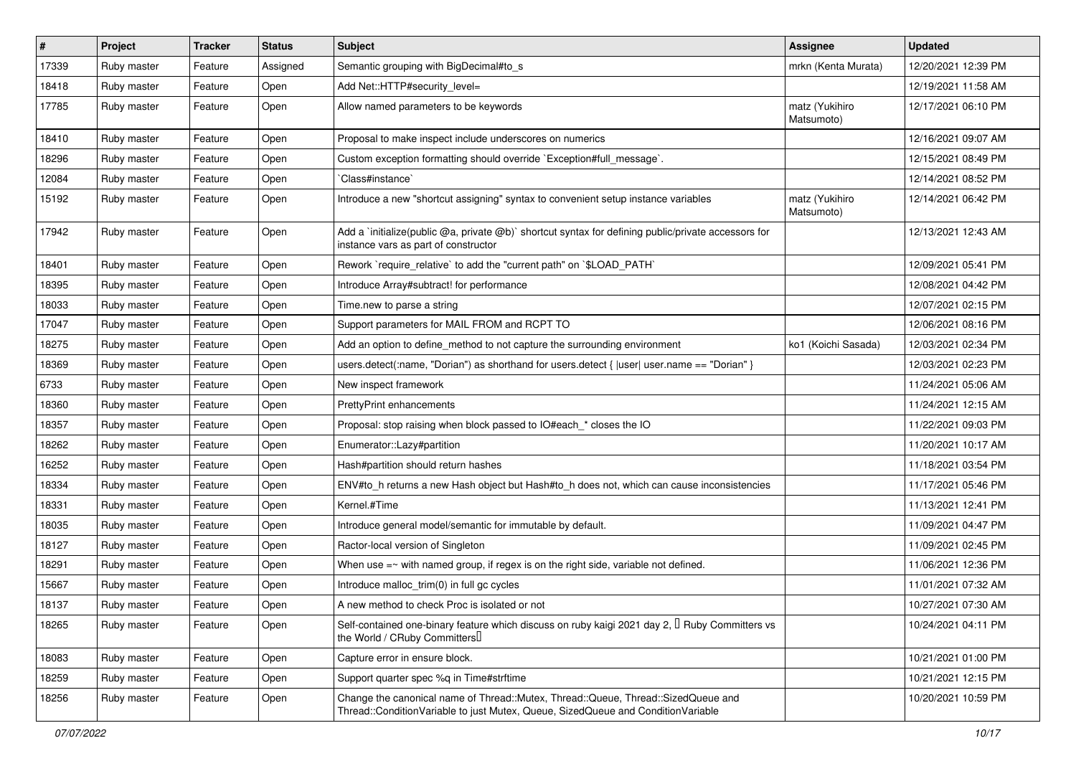| #     | Project     | <b>Tracker</b> | <b>Status</b> | <b>Subject</b>                                                                                                                                                        | Assignee                     | <b>Updated</b>      |
|-------|-------------|----------------|---------------|-----------------------------------------------------------------------------------------------------------------------------------------------------------------------|------------------------------|---------------------|
| 17339 | Ruby master | Feature        | Assigned      | Semantic grouping with BigDecimal#to_s                                                                                                                                | mrkn (Kenta Murata)          | 12/20/2021 12:39 PM |
| 18418 | Ruby master | Feature        | Open          | Add Net::HTTP#security_level=                                                                                                                                         |                              | 12/19/2021 11:58 AM |
| 17785 | Ruby master | Feature        | Open          | Allow named parameters to be keywords                                                                                                                                 | matz (Yukihiro<br>Matsumoto) | 12/17/2021 06:10 PM |
| 18410 | Ruby master | Feature        | Open          | Proposal to make inspect include underscores on numerics                                                                                                              |                              | 12/16/2021 09:07 AM |
| 18296 | Ruby master | Feature        | Open          | Custom exception formatting should override `Exception#full_message`.                                                                                                 |                              | 12/15/2021 08:49 PM |
| 12084 | Ruby master | Feature        | Open          | Class#instance`                                                                                                                                                       |                              | 12/14/2021 08:52 PM |
| 15192 | Ruby master | Feature        | Open          | Introduce a new "shortcut assigning" syntax to convenient setup instance variables                                                                                    | matz (Yukihiro<br>Matsumoto) | 12/14/2021 06:42 PM |
| 17942 | Ruby master | Feature        | Open          | Add a `initialize(public @a, private @b)` shortcut syntax for defining public/private accessors for<br>instance vars as part of constructor                           |                              | 12/13/2021 12:43 AM |
| 18401 | Ruby master | Feature        | Open          | Rework `require_relative` to add the "current path" on `\$LOAD_PATH`                                                                                                  |                              | 12/09/2021 05:41 PM |
| 18395 | Ruby master | Feature        | Open          | Introduce Array#subtract! for performance                                                                                                                             |                              | 12/08/2021 04:42 PM |
| 18033 | Ruby master | Feature        | Open          | Time.new to parse a string                                                                                                                                            |                              | 12/07/2021 02:15 PM |
| 17047 | Ruby master | Feature        | Open          | Support parameters for MAIL FROM and RCPT TO                                                                                                                          |                              | 12/06/2021 08:16 PM |
| 18275 | Ruby master | Feature        | Open          | Add an option to define method to not capture the surrounding environment                                                                                             | ko1 (Koichi Sasada)          | 12/03/2021 02:34 PM |
| 18369 | Ruby master | Feature        | Open          | users.detect(:name, "Dorian") as shorthand for users.detect { $ user $ user.name == "Dorian" }                                                                        |                              | 12/03/2021 02:23 PM |
| 6733  | Ruby master | Feature        | Open          | New inspect framework                                                                                                                                                 |                              | 11/24/2021 05:06 AM |
| 18360 | Ruby master | Feature        | Open          | <b>PrettyPrint enhancements</b>                                                                                                                                       |                              | 11/24/2021 12:15 AM |
| 18357 | Ruby master | Feature        | Open          | Proposal: stop raising when block passed to IO#each_* closes the IO                                                                                                   |                              | 11/22/2021 09:03 PM |
| 18262 | Ruby master | Feature        | Open          | Enumerator::Lazy#partition                                                                                                                                            |                              | 11/20/2021 10:17 AM |
| 16252 | Ruby master | Feature        | Open          | Hash#partition should return hashes                                                                                                                                   |                              | 11/18/2021 03:54 PM |
| 18334 | Ruby master | Feature        | Open          | ENV#to_h returns a new Hash object but Hash#to_h does not, which can cause inconsistencies                                                                            |                              | 11/17/2021 05:46 PM |
| 18331 | Ruby master | Feature        | Open          | Kernel.#Time                                                                                                                                                          |                              | 11/13/2021 12:41 PM |
| 18035 | Ruby master | Feature        | Open          | Introduce general model/semantic for immutable by default.                                                                                                            |                              | 11/09/2021 04:47 PM |
| 18127 | Ruby master | Feature        | Open          | Ractor-local version of Singleton                                                                                                                                     |                              | 11/09/2021 02:45 PM |
| 18291 | Ruby master | Feature        | Open          | When use $=\sim$ with named group, if regex is on the right side, variable not defined.                                                                               |                              | 11/06/2021 12:36 PM |
| 15667 | Ruby master | Feature        | Open          | Introduce malloc_trim(0) in full gc cycles                                                                                                                            |                              | 11/01/2021 07:32 AM |
| 18137 | Ruby master | Feature        | Open          | A new method to check Proc is isolated or not                                                                                                                         |                              | 10/27/2021 07:30 AM |
| 18265 | Ruby master | Feature        | Open          | Self-contained one-binary feature which discuss on ruby kaigi 2021 day 2, <sup>[]</sup> Ruby Committers vs<br>the World / CRuby Committers                            |                              | 10/24/2021 04:11 PM |
| 18083 | Ruby master | Feature        | Open          | Capture error in ensure block.                                                                                                                                        |                              | 10/21/2021 01:00 PM |
| 18259 | Ruby master | Feature        | Open          | Support quarter spec %q in Time#strftime                                                                                                                              |                              | 10/21/2021 12:15 PM |
| 18256 | Ruby master | Feature        | Open          | Change the canonical name of Thread::Mutex, Thread::Queue, Thread::SizedQueue and<br>Thread::ConditionVariable to just Mutex, Queue, SizedQueue and ConditionVariable |                              | 10/20/2021 10:59 PM |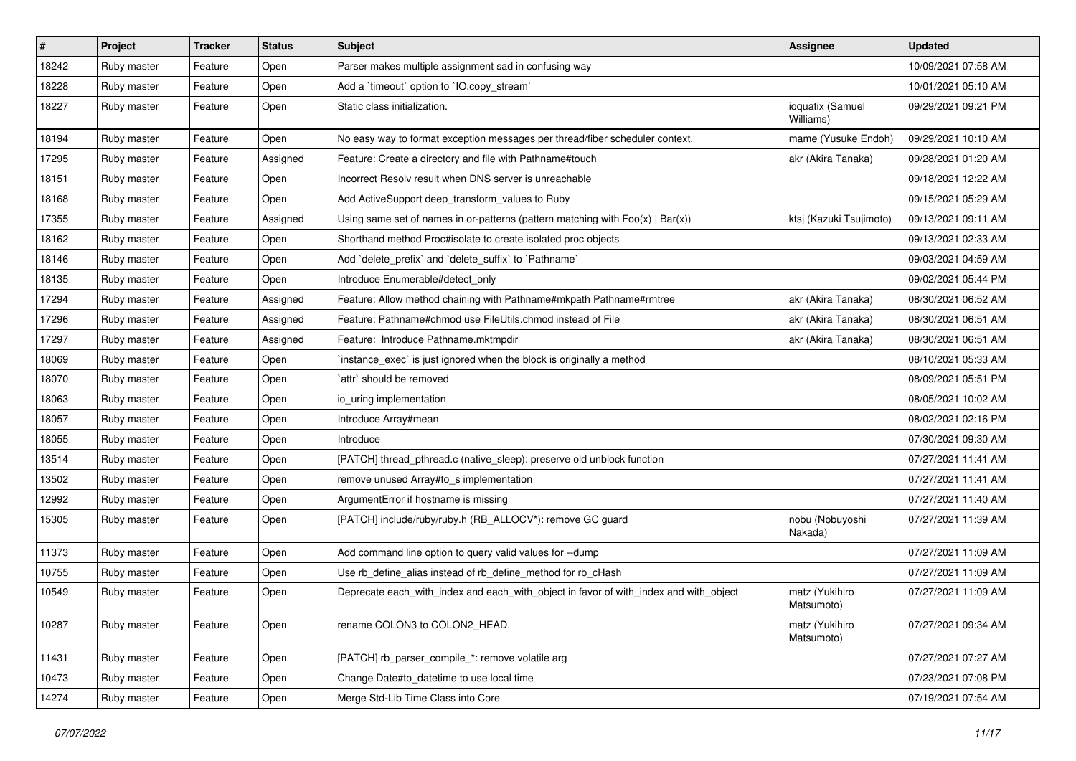| #     | Project     | <b>Tracker</b> | <b>Status</b> | <b>Subject</b>                                                                        | Assignee                      | <b>Updated</b>      |
|-------|-------------|----------------|---------------|---------------------------------------------------------------------------------------|-------------------------------|---------------------|
| 18242 | Ruby master | Feature        | Open          | Parser makes multiple assignment sad in confusing way                                 |                               | 10/09/2021 07:58 AM |
| 18228 | Ruby master | Feature        | Open          | Add a 'timeout' option to 'IO.copy_stream'                                            |                               | 10/01/2021 05:10 AM |
| 18227 | Ruby master | Feature        | Open          | Static class initialization.                                                          | ioquatix (Samuel<br>Williams) | 09/29/2021 09:21 PM |
| 18194 | Ruby master | Feature        | Open          | No easy way to format exception messages per thread/fiber scheduler context.          | mame (Yusuke Endoh)           | 09/29/2021 10:10 AM |
| 17295 | Ruby master | Feature        | Assigned      | Feature: Create a directory and file with Pathname#touch                              | akr (Akira Tanaka)            | 09/28/2021 01:20 AM |
| 18151 | Ruby master | Feature        | Open          | Incorrect Resolv result when DNS server is unreachable                                |                               | 09/18/2021 12:22 AM |
| 18168 | Ruby master | Feature        | Open          | Add ActiveSupport deep_transform_values to Ruby                                       |                               | 09/15/2021 05:29 AM |
| 17355 | Ruby master | Feature        | Assigned      | Using same set of names in or-patterns (pattern matching with $Foo(x)   Bar(x)$ )     | ktsj (Kazuki Tsujimoto)       | 09/13/2021 09:11 AM |
| 18162 | Ruby master | Feature        | Open          | Shorthand method Proc#isolate to create isolated proc objects                         |                               | 09/13/2021 02:33 AM |
| 18146 | Ruby master | Feature        | Open          | Add `delete_prefix` and `delete_suffix` to `Pathname`                                 |                               | 09/03/2021 04:59 AM |
| 18135 | Ruby master | Feature        | Open          | Introduce Enumerable#detect_only                                                      |                               | 09/02/2021 05:44 PM |
| 17294 | Ruby master | Feature        | Assigned      | Feature: Allow method chaining with Pathname#mkpath Pathname#rmtree                   | akr (Akira Tanaka)            | 08/30/2021 06:52 AM |
| 17296 | Ruby master | Feature        | Assigned      | Feature: Pathname#chmod use FileUtils.chmod instead of File                           | akr (Akira Tanaka)            | 08/30/2021 06:51 AM |
| 17297 | Ruby master | Feature        | Assigned      | Feature: Introduce Pathname.mktmpdir                                                  | akr (Akira Tanaka)            | 08/30/2021 06:51 AM |
| 18069 | Ruby master | Feature        | Open          | instance exec is just ignored when the block is originally a method                   |                               | 08/10/2021 05:33 AM |
| 18070 | Ruby master | Feature        | Open          | `attr` should be removed                                                              |                               | 08/09/2021 05:51 PM |
| 18063 | Ruby master | Feature        | Open          | io uring implementation                                                               |                               | 08/05/2021 10:02 AM |
| 18057 | Ruby master | Feature        | Open          | Introduce Array#mean                                                                  |                               | 08/02/2021 02:16 PM |
| 18055 | Ruby master | Feature        | Open          | Introduce                                                                             |                               | 07/30/2021 09:30 AM |
| 13514 | Ruby master | Feature        | Open          | [PATCH] thread_pthread.c (native_sleep): preserve old unblock function                |                               | 07/27/2021 11:41 AM |
| 13502 | Ruby master | Feature        | Open          | remove unused Array#to_s implementation                                               |                               | 07/27/2021 11:41 AM |
| 12992 | Ruby master | Feature        | Open          | ArgumentError if hostname is missing                                                  |                               | 07/27/2021 11:40 AM |
| 15305 | Ruby master | Feature        | Open          | [PATCH] include/ruby/ruby.h (RB_ALLOCV*): remove GC guard                             | nobu (Nobuyoshi<br>Nakada)    | 07/27/2021 11:39 AM |
| 11373 | Ruby master | Feature        | Open          | Add command line option to query valid values for --dump                              |                               | 07/27/2021 11:09 AM |
| 10755 | Ruby master | Feature        | Open          | Use rb_define_alias instead of rb_define_method for rb_cHash                          |                               | 07/27/2021 11:09 AM |
| 10549 | Ruby master | Feature        | Open          | Deprecate each_with_index and each_with_object in favor of with_index and with_object | matz (Yukihiro<br>Matsumoto)  | 07/27/2021 11:09 AM |
| 10287 | Ruby master | Feature        | Open          | rename COLON3 to COLON2 HEAD.                                                         | matz (Yukihiro<br>Matsumoto)  | 07/27/2021 09:34 AM |
| 11431 | Ruby master | Feature        | Open          | [PATCH] rb_parser_compile_*: remove volatile arg                                      |                               | 07/27/2021 07:27 AM |
| 10473 | Ruby master | Feature        | Open          | Change Date#to datetime to use local time                                             |                               | 07/23/2021 07:08 PM |
| 14274 | Ruby master | Feature        | Open          | Merge Std-Lib Time Class into Core                                                    |                               | 07/19/2021 07:54 AM |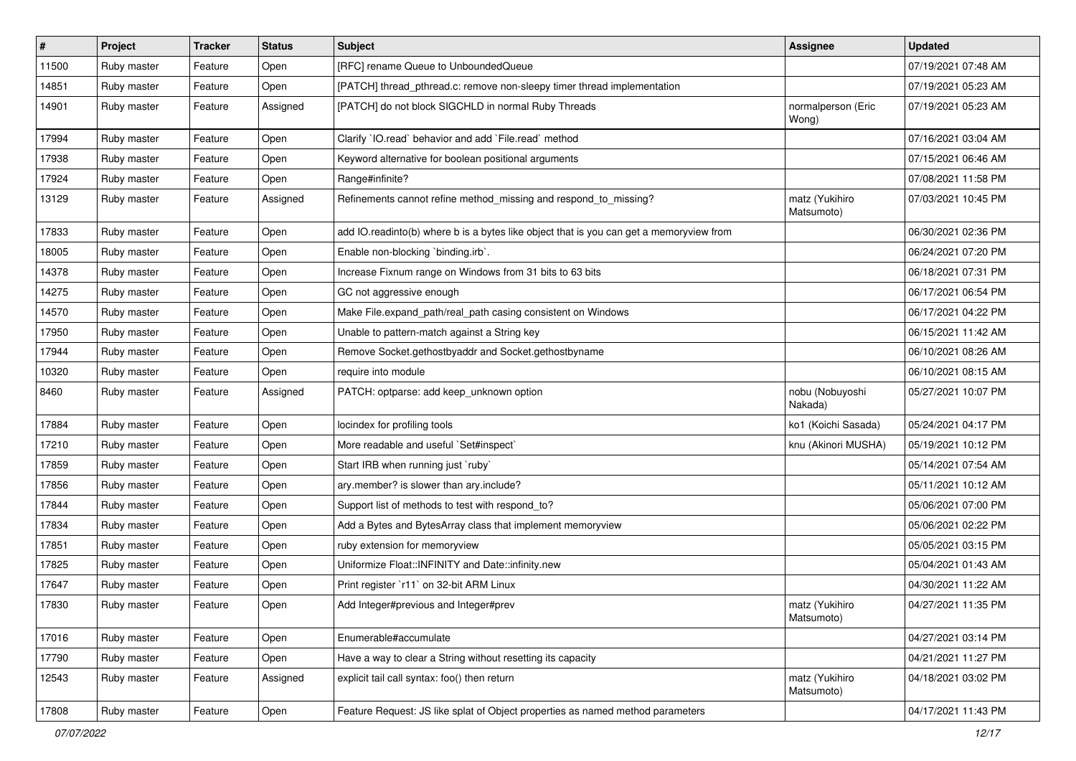| $\sharp$ | Project     | <b>Tracker</b> | <b>Status</b> | <b>Subject</b>                                                                          | <b>Assignee</b>              | <b>Updated</b>      |
|----------|-------------|----------------|---------------|-----------------------------------------------------------------------------------------|------------------------------|---------------------|
| 11500    | Ruby master | Feature        | Open          | [RFC] rename Queue to UnboundedQueue                                                    |                              | 07/19/2021 07:48 AM |
| 14851    | Ruby master | Feature        | Open          | [PATCH] thread_pthread.c: remove non-sleepy timer thread implementation                 |                              | 07/19/2021 05:23 AM |
| 14901    | Ruby master | Feature        | Assigned      | [PATCH] do not block SIGCHLD in normal Ruby Threads                                     | normalperson (Eric<br>Wong)  | 07/19/2021 05:23 AM |
| 17994    | Ruby master | Feature        | Open          | Clarify `IO.read` behavior and add `File.read` method                                   |                              | 07/16/2021 03:04 AM |
| 17938    | Ruby master | Feature        | Open          | Keyword alternative for boolean positional arguments                                    |                              | 07/15/2021 06:46 AM |
| 17924    | Ruby master | Feature        | Open          | Range#infinite?                                                                         |                              | 07/08/2021 11:58 PM |
| 13129    | Ruby master | Feature        | Assigned      | Refinements cannot refine method_missing and respond_to_missing?                        | matz (Yukihiro<br>Matsumoto) | 07/03/2021 10:45 PM |
| 17833    | Ruby master | Feature        | Open          | add IO.readinto(b) where b is a bytes like object that is you can get a memoryview from |                              | 06/30/2021 02:36 PM |
| 18005    | Ruby master | Feature        | Open          | Enable non-blocking 'binding.irb'.                                                      |                              | 06/24/2021 07:20 PM |
| 14378    | Ruby master | Feature        | Open          | Increase Fixnum range on Windows from 31 bits to 63 bits                                |                              | 06/18/2021 07:31 PM |
| 14275    | Ruby master | Feature        | Open          | GC not aggressive enough                                                                |                              | 06/17/2021 06:54 PM |
| 14570    | Ruby master | Feature        | Open          | Make File.expand_path/real_path casing consistent on Windows                            |                              | 06/17/2021 04:22 PM |
| 17950    | Ruby master | Feature        | Open          | Unable to pattern-match against a String key                                            |                              | 06/15/2021 11:42 AM |
| 17944    | Ruby master | Feature        | Open          | Remove Socket.gethostbyaddr and Socket.gethostbyname                                    |                              | 06/10/2021 08:26 AM |
| 10320    | Ruby master | Feature        | Open          | require into module                                                                     |                              | 06/10/2021 08:15 AM |
| 8460     | Ruby master | Feature        | Assigned      | PATCH: optparse: add keep_unknown option                                                | nobu (Nobuyoshi<br>Nakada)   | 05/27/2021 10:07 PM |
| 17884    | Ruby master | Feature        | Open          | locindex for profiling tools                                                            | ko1 (Koichi Sasada)          | 05/24/2021 04:17 PM |
| 17210    | Ruby master | Feature        | Open          | More readable and useful `Set#inspect`                                                  | knu (Akinori MUSHA)          | 05/19/2021 10:12 PM |
| 17859    | Ruby master | Feature        | Open          | Start IRB when running just `ruby`                                                      |                              | 05/14/2021 07:54 AM |
| 17856    | Ruby master | Feature        | Open          | ary.member? is slower than ary.include?                                                 |                              | 05/11/2021 10:12 AM |
| 17844    | Ruby master | Feature        | Open          | Support list of methods to test with respond_to?                                        |                              | 05/06/2021 07:00 PM |
| 17834    | Ruby master | Feature        | Open          | Add a Bytes and BytesArray class that implement memoryview                              |                              | 05/06/2021 02:22 PM |
| 17851    | Ruby master | Feature        | Open          | ruby extension for memoryview                                                           |                              | 05/05/2021 03:15 PM |
| 17825    | Ruby master | Feature        | Open          | Uniformize Float::INFINITY and Date::infinity.new                                       |                              | 05/04/2021 01:43 AM |
| 17647    | Ruby master | Feature        | Open          | Print register `r11` on 32-bit ARM Linux                                                |                              | 04/30/2021 11:22 AM |
| 17830    | Ruby master | Feature        | Open          | Add Integer#previous and Integer#prev                                                   | matz (Yukihiro<br>Matsumoto) | 04/27/2021 11:35 PM |
| 17016    | Ruby master | Feature        | Open          | Enumerable#accumulate                                                                   |                              | 04/27/2021 03:14 PM |
| 17790    | Ruby master | Feature        | Open          | Have a way to clear a String without resetting its capacity                             |                              | 04/21/2021 11:27 PM |
| 12543    | Ruby master | Feature        | Assigned      | explicit tail call syntax: foo() then return                                            | matz (Yukihiro<br>Matsumoto) | 04/18/2021 03:02 PM |
| 17808    | Ruby master | Feature        | Open          | Feature Request: JS like splat of Object properties as named method parameters          |                              | 04/17/2021 11:43 PM |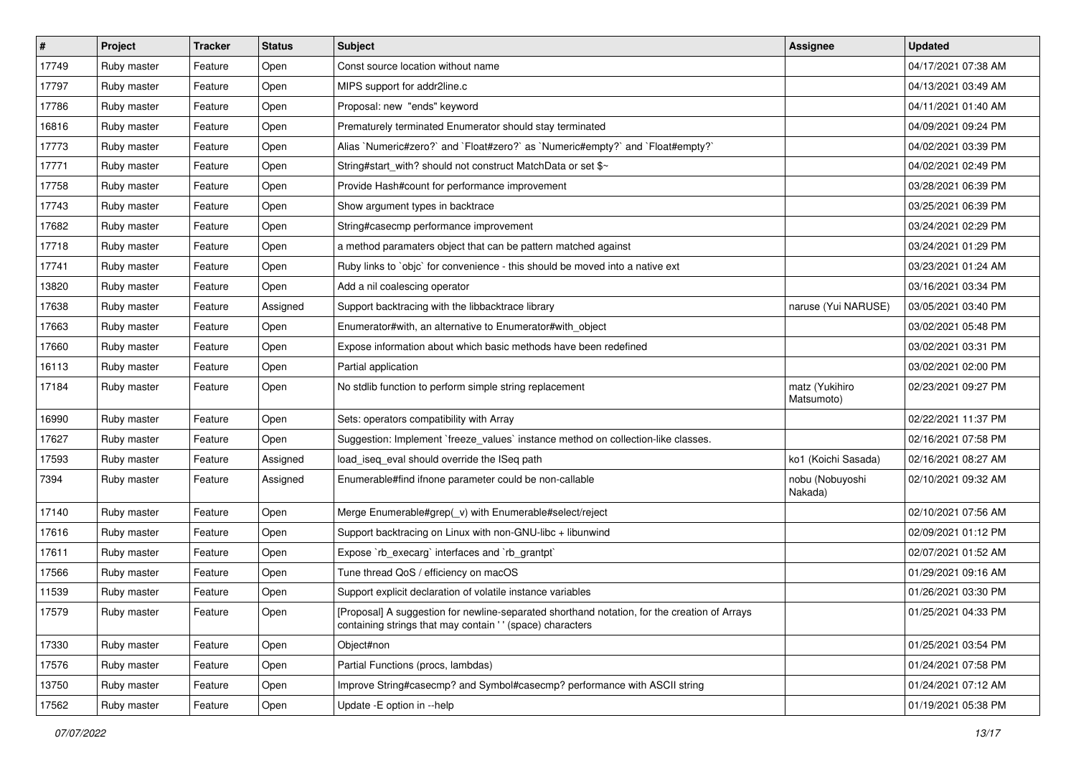| $\vert$ # | Project     | <b>Tracker</b> | <b>Status</b> | <b>Subject</b>                                                                                                                                            | <b>Assignee</b>              | <b>Updated</b>      |
|-----------|-------------|----------------|---------------|-----------------------------------------------------------------------------------------------------------------------------------------------------------|------------------------------|---------------------|
| 17749     | Ruby master | Feature        | Open          | Const source location without name                                                                                                                        |                              | 04/17/2021 07:38 AM |
| 17797     | Ruby master | Feature        | Open          | MIPS support for addr2line.c                                                                                                                              |                              | 04/13/2021 03:49 AM |
| 17786     | Ruby master | Feature        | Open          | Proposal: new "ends" keyword                                                                                                                              |                              | 04/11/2021 01:40 AM |
| 16816     | Ruby master | Feature        | Open          | Prematurely terminated Enumerator should stay terminated                                                                                                  |                              | 04/09/2021 09:24 PM |
| 17773     | Ruby master | Feature        | Open          | Alias `Numeric#zero?` and `Float#zero?` as `Numeric#empty?` and `Float#empty?`                                                                            |                              | 04/02/2021 03:39 PM |
| 17771     | Ruby master | Feature        | Open          | String#start_with? should not construct MatchData or set \$~                                                                                              |                              | 04/02/2021 02:49 PM |
| 17758     | Ruby master | Feature        | Open          | Provide Hash#count for performance improvement                                                                                                            |                              | 03/28/2021 06:39 PM |
| 17743     | Ruby master | Feature        | Open          | Show argument types in backtrace                                                                                                                          |                              | 03/25/2021 06:39 PM |
| 17682     | Ruby master | Feature        | Open          | String#casecmp performance improvement                                                                                                                    |                              | 03/24/2021 02:29 PM |
| 17718     | Ruby master | Feature        | Open          | a method paramaters object that can be pattern matched against                                                                                            |                              | 03/24/2021 01:29 PM |
| 17741     | Ruby master | Feature        | Open          | Ruby links to `objc` for convenience - this should be moved into a native ext                                                                             |                              | 03/23/2021 01:24 AM |
| 13820     | Ruby master | Feature        | Open          | Add a nil coalescing operator                                                                                                                             |                              | 03/16/2021 03:34 PM |
| 17638     | Ruby master | Feature        | Assigned      | Support backtracing with the libbacktrace library                                                                                                         | naruse (Yui NARUSE)          | 03/05/2021 03:40 PM |
| 17663     | Ruby master | Feature        | Open          | Enumerator#with, an alternative to Enumerator#with_object                                                                                                 |                              | 03/02/2021 05:48 PM |
| 17660     | Ruby master | Feature        | Open          | Expose information about which basic methods have been redefined                                                                                          |                              | 03/02/2021 03:31 PM |
| 16113     | Ruby master | Feature        | Open          | Partial application                                                                                                                                       |                              | 03/02/2021 02:00 PM |
| 17184     | Ruby master | Feature        | Open          | No stdlib function to perform simple string replacement                                                                                                   | matz (Yukihiro<br>Matsumoto) | 02/23/2021 09:27 PM |
| 16990     | Ruby master | Feature        | Open          | Sets: operators compatibility with Array                                                                                                                  |                              | 02/22/2021 11:37 PM |
| 17627     | Ruby master | Feature        | Open          | Suggestion: Implement `freeze_values` instance method on collection-like classes.                                                                         |                              | 02/16/2021 07:58 PM |
| 17593     | Ruby master | Feature        | Assigned      | load_iseq_eval should override the ISeq path                                                                                                              | ko1 (Koichi Sasada)          | 02/16/2021 08:27 AM |
| 7394      | Ruby master | Feature        | Assigned      | Enumerable#find ifnone parameter could be non-callable                                                                                                    | nobu (Nobuyoshi<br>Nakada)   | 02/10/2021 09:32 AM |
| 17140     | Ruby master | Feature        | Open          | Merge Enumerable#grep(_v) with Enumerable#select/reject                                                                                                   |                              | 02/10/2021 07:56 AM |
| 17616     | Ruby master | Feature        | Open          | Support backtracing on Linux with non-GNU-libc + libunwind                                                                                                |                              | 02/09/2021 01:12 PM |
| 17611     | Ruby master | Feature        | Open          | Expose `rb_execarg` interfaces and `rb_grantpt`                                                                                                           |                              | 02/07/2021 01:52 AM |
| 17566     | Ruby master | Feature        | Open          | Tune thread QoS / efficiency on macOS                                                                                                                     |                              | 01/29/2021 09:16 AM |
| 11539     | Ruby master | Feature        | Open          | Support explicit declaration of volatile instance variables                                                                                               |                              | 01/26/2021 03:30 PM |
| 17579     | Ruby master | Feature        | Open          | [Proposal] A suggestion for newline-separated shorthand notation, for the creation of Arrays<br>containing strings that may contain '' (space) characters |                              | 01/25/2021 04:33 PM |
| 17330     | Ruby master | Feature        | Open          | Object#non                                                                                                                                                |                              | 01/25/2021 03:54 PM |
| 17576     | Ruby master | Feature        | Open          | Partial Functions (procs, lambdas)                                                                                                                        |                              | 01/24/2021 07:58 PM |
| 13750     | Ruby master | Feature        | Open          | Improve String#casecmp? and Symbol#casecmp? performance with ASCII string                                                                                 |                              | 01/24/2021 07:12 AM |
| 17562     | Ruby master | Feature        | Open          | Update - E option in --help                                                                                                                               |                              | 01/19/2021 05:38 PM |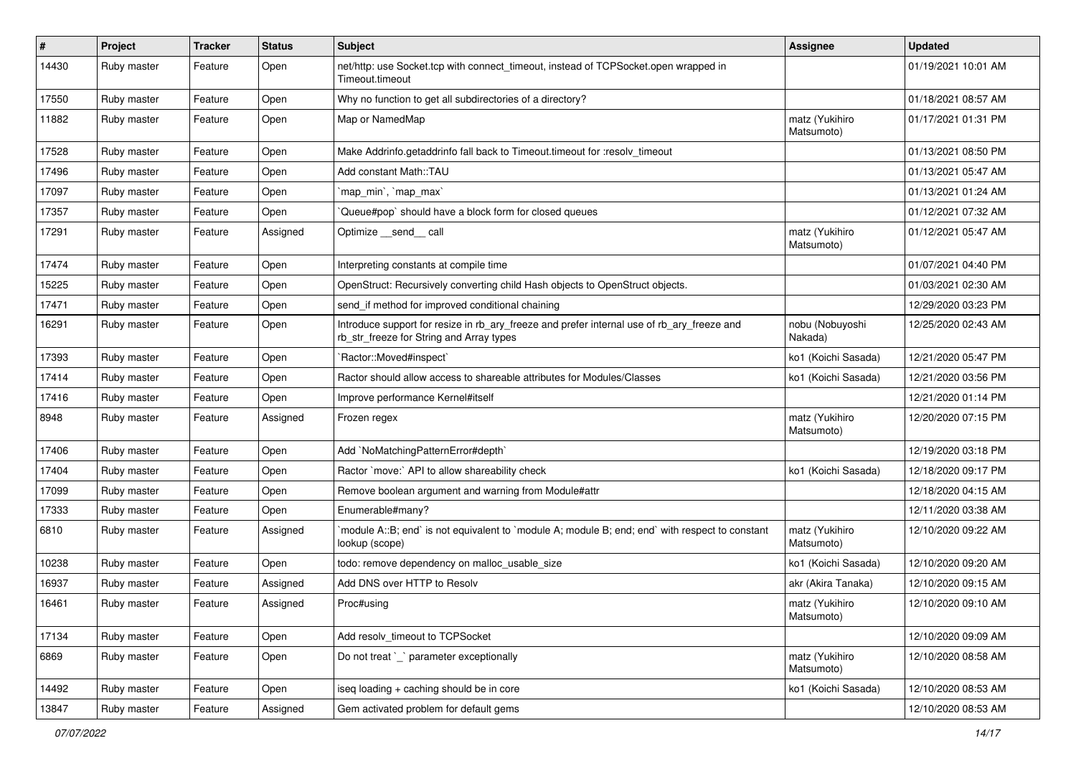| $\vert$ # | Project     | <b>Tracker</b> | <b>Status</b> | Subject                                                                                                                                | Assignee                     | <b>Updated</b>      |
|-----------|-------------|----------------|---------------|----------------------------------------------------------------------------------------------------------------------------------------|------------------------------|---------------------|
| 14430     | Ruby master | Feature        | Open          | net/http: use Socket.tcp with connect_timeout, instead of TCPSocket.open wrapped in<br>Timeout.timeout                                 |                              | 01/19/2021 10:01 AM |
| 17550     | Ruby master | Feature        | Open          | Why no function to get all subdirectories of a directory?                                                                              |                              | 01/18/2021 08:57 AM |
| 11882     | Ruby master | Feature        | Open          | Map or NamedMap                                                                                                                        | matz (Yukihiro<br>Matsumoto) | 01/17/2021 01:31 PM |
| 17528     | Ruby master | Feature        | Open          | Make Addrinfo.getaddrinfo fall back to Timeout.timeout for :resolv timeout                                                             |                              | 01/13/2021 08:50 PM |
| 17496     | Ruby master | Feature        | Open          | Add constant Math::TAU                                                                                                                 |                              | 01/13/2021 05:47 AM |
| 17097     | Ruby master | Feature        | Open          | 'map min', 'map max'                                                                                                                   |                              | 01/13/2021 01:24 AM |
| 17357     | Ruby master | Feature        | Open          | Queue#pop`should have a block form for closed queues                                                                                   |                              | 01/12/2021 07:32 AM |
| 17291     | Ruby master | Feature        | Assigned      | Optimize __send__ call                                                                                                                 | matz (Yukihiro<br>Matsumoto) | 01/12/2021 05:47 AM |
| 17474     | Ruby master | Feature        | Open          | Interpreting constants at compile time                                                                                                 |                              | 01/07/2021 04:40 PM |
| 15225     | Ruby master | Feature        | Open          | OpenStruct: Recursively converting child Hash objects to OpenStruct objects.                                                           |                              | 01/03/2021 02:30 AM |
| 17471     | Ruby master | Feature        | Open          | send_if method for improved conditional chaining                                                                                       |                              | 12/29/2020 03:23 PM |
| 16291     | Ruby master | Feature        | Open          | Introduce support for resize in rb_ary_freeze and prefer internal use of rb_ary_freeze and<br>rb_str_freeze for String and Array types | nobu (Nobuyoshi<br>Nakada)   | 12/25/2020 02:43 AM |
| 17393     | Ruby master | Feature        | Open          | `Ractor::Moved#inspect`                                                                                                                | ko1 (Koichi Sasada)          | 12/21/2020 05:47 PM |
| 17414     | Ruby master | Feature        | Open          | Ractor should allow access to shareable attributes for Modules/Classes                                                                 | ko1 (Koichi Sasada)          | 12/21/2020 03:56 PM |
| 17416     | Ruby master | Feature        | Open          | Improve performance Kernel#itself                                                                                                      |                              | 12/21/2020 01:14 PM |
| 8948      | Ruby master | Feature        | Assigned      | Frozen regex                                                                                                                           | matz (Yukihiro<br>Matsumoto) | 12/20/2020 07:15 PM |
| 17406     | Ruby master | Feature        | Open          | Add `NoMatchingPatternError#depth`                                                                                                     |                              | 12/19/2020 03:18 PM |
| 17404     | Ruby master | Feature        | Open          | Ractor `move:` API to allow shareability check                                                                                         | ko1 (Koichi Sasada)          | 12/18/2020 09:17 PM |
| 17099     | Ruby master | Feature        | Open          | Remove boolean argument and warning from Module#attr                                                                                   |                              | 12/18/2020 04:15 AM |
| 17333     | Ruby master | Feature        | Open          | Enumerable#many?                                                                                                                       |                              | 12/11/2020 03:38 AM |
| 6810      | Ruby master | Feature        | Assigned      | module A::B; end` is not equivalent to `module A; module B; end; end` with respect to constant<br>lookup (scope)                       | matz (Yukihiro<br>Matsumoto) | 12/10/2020 09:22 AM |
| 10238     | Ruby master | Feature        | Open          | todo: remove dependency on malloc_usable_size                                                                                          | ko1 (Koichi Sasada)          | 12/10/2020 09:20 AM |
| 16937     | Ruby master | Feature        | Assigned      | Add DNS over HTTP to Resolv                                                                                                            | akr (Akira Tanaka)           | 12/10/2020 09:15 AM |
| 16461     | Ruby master | Feature        | Assigned      | Proc#using                                                                                                                             | matz (Yukihiro<br>Matsumoto) | 12/10/2020 09:10 AM |
| 17134     | Ruby master | Feature        | Open          | Add resolv_timeout to TCPSocket                                                                                                        |                              | 12/10/2020 09:09 AM |
| 6869      | Ruby master | Feature        | Open          | Do not treat `_` parameter exceptionally                                                                                               | matz (Yukihiro<br>Matsumoto) | 12/10/2020 08:58 AM |
| 14492     | Ruby master | Feature        | Open          | iseq loading + caching should be in core                                                                                               | ko1 (Koichi Sasada)          | 12/10/2020 08:53 AM |
| 13847     | Ruby master | Feature        | Assigned      | Gem activated problem for default gems                                                                                                 |                              | 12/10/2020 08:53 AM |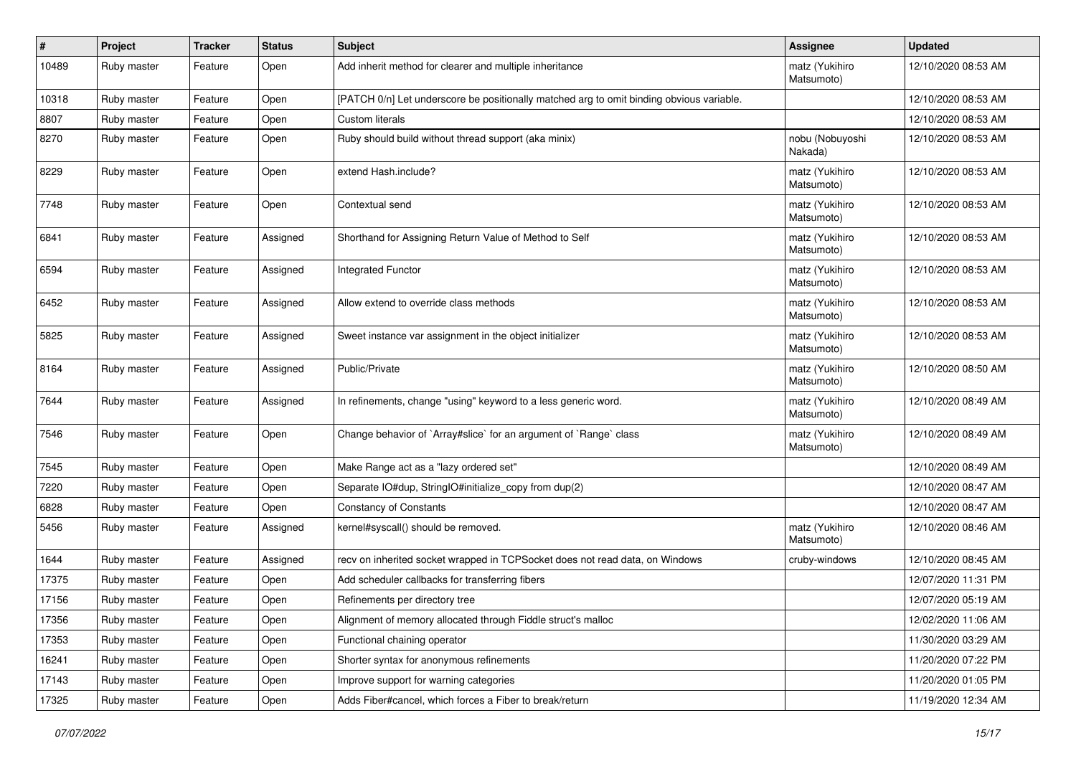| #     | Project     | <b>Tracker</b> | <b>Status</b> | <b>Subject</b>                                                                           | <b>Assignee</b>              | <b>Updated</b>      |
|-------|-------------|----------------|---------------|------------------------------------------------------------------------------------------|------------------------------|---------------------|
| 10489 | Ruby master | Feature        | Open          | Add inherit method for clearer and multiple inheritance                                  | matz (Yukihiro<br>Matsumoto) | 12/10/2020 08:53 AM |
| 10318 | Ruby master | Feature        | Open          | [PATCH 0/n] Let underscore be positionally matched arg to omit binding obvious variable. |                              | 12/10/2020 08:53 AM |
| 8807  | Ruby master | Feature        | Open          | <b>Custom literals</b>                                                                   |                              | 12/10/2020 08:53 AM |
| 8270  | Ruby master | Feature        | Open          | Ruby should build without thread support (aka minix)                                     | nobu (Nobuyoshi<br>Nakada)   | 12/10/2020 08:53 AM |
| 8229  | Ruby master | Feature        | Open          | extend Hash.include?                                                                     | matz (Yukihiro<br>Matsumoto) | 12/10/2020 08:53 AM |
| 7748  | Ruby master | Feature        | Open          | Contextual send                                                                          | matz (Yukihiro<br>Matsumoto) | 12/10/2020 08:53 AM |
| 6841  | Ruby master | Feature        | Assigned      | Shorthand for Assigning Return Value of Method to Self                                   | matz (Yukihiro<br>Matsumoto) | 12/10/2020 08:53 AM |
| 6594  | Ruby master | Feature        | Assigned      | Integrated Functor                                                                       | matz (Yukihiro<br>Matsumoto) | 12/10/2020 08:53 AM |
| 6452  | Ruby master | Feature        | Assigned      | Allow extend to override class methods                                                   | matz (Yukihiro<br>Matsumoto) | 12/10/2020 08:53 AM |
| 5825  | Ruby master | Feature        | Assigned      | Sweet instance var assignment in the object initializer                                  | matz (Yukihiro<br>Matsumoto) | 12/10/2020 08:53 AM |
| 8164  | Ruby master | Feature        | Assigned      | Public/Private                                                                           | matz (Yukihiro<br>Matsumoto) | 12/10/2020 08:50 AM |
| 7644  | Ruby master | Feature        | Assigned      | In refinements, change "using" keyword to a less generic word.                           | matz (Yukihiro<br>Matsumoto) | 12/10/2020 08:49 AM |
| 7546  | Ruby master | Feature        | Open          | Change behavior of `Array#slice` for an argument of `Range` class                        | matz (Yukihiro<br>Matsumoto) | 12/10/2020 08:49 AM |
| 7545  | Ruby master | Feature        | Open          | Make Range act as a "lazy ordered set"                                                   |                              | 12/10/2020 08:49 AM |
| 7220  | Ruby master | Feature        | Open          | Separate IO#dup, StringIO#initialize_copy from dup(2)                                    |                              | 12/10/2020 08:47 AM |
| 6828  | Ruby master | Feature        | Open          | <b>Constancy of Constants</b>                                                            |                              | 12/10/2020 08:47 AM |
| 5456  | Ruby master | Feature        | Assigned      | kernel#syscall() should be removed.                                                      | matz (Yukihiro<br>Matsumoto) | 12/10/2020 08:46 AM |
| 1644  | Ruby master | Feature        | Assigned      | recv on inherited socket wrapped in TCPSocket does not read data, on Windows             | cruby-windows                | 12/10/2020 08:45 AM |
| 17375 | Ruby master | Feature        | Open          | Add scheduler callbacks for transferring fibers                                          |                              | 12/07/2020 11:31 PM |
| 17156 | Ruby master | Feature        | Open          | Refinements per directory tree                                                           |                              | 12/07/2020 05:19 AM |
| 17356 | Ruby master | Feature        | Open          | Alignment of memory allocated through Fiddle struct's malloc                             |                              | 12/02/2020 11:06 AM |
| 17353 | Ruby master | Feature        | Open          | Functional chaining operator                                                             |                              | 11/30/2020 03:29 AM |
| 16241 | Ruby master | Feature        | Open          | Shorter syntax for anonymous refinements                                                 |                              | 11/20/2020 07:22 PM |
| 17143 | Ruby master | Feature        | Open          | Improve support for warning categories                                                   |                              | 11/20/2020 01:05 PM |
| 17325 | Ruby master | Feature        | Open          | Adds Fiber#cancel, which forces a Fiber to break/return                                  |                              | 11/19/2020 12:34 AM |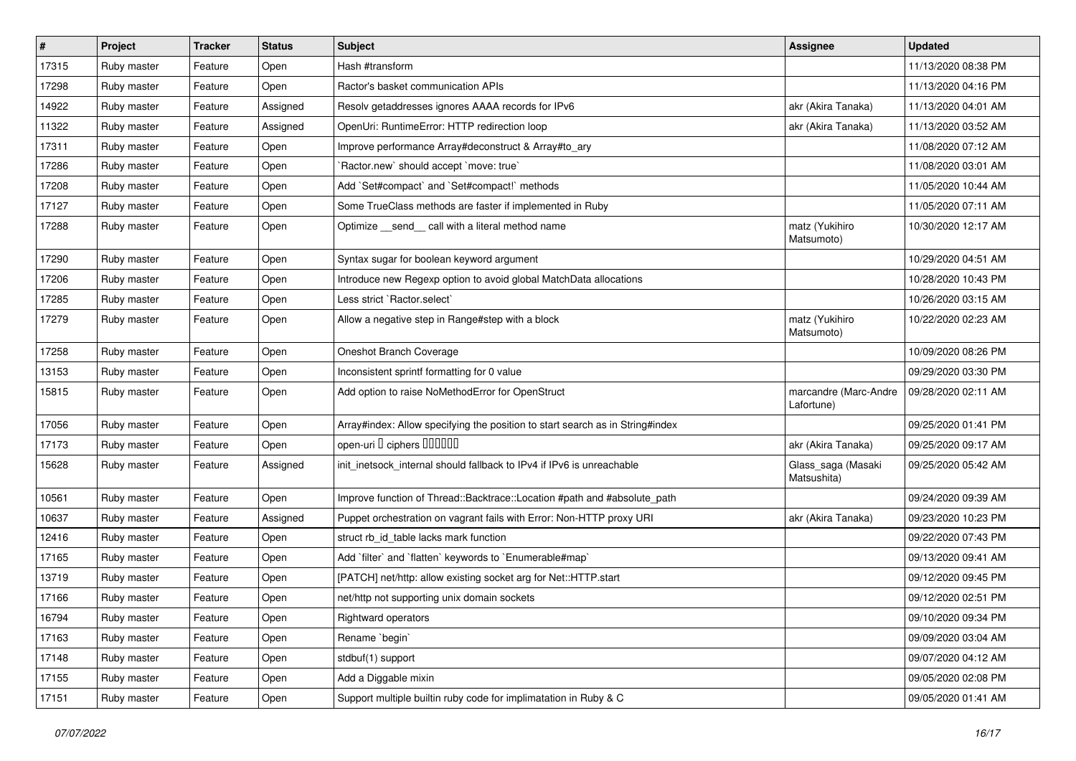| $\sharp$ | Project     | <b>Tracker</b> | <b>Status</b> | <b>Subject</b>                                                                | Assignee                            | <b>Updated</b>      |
|----------|-------------|----------------|---------------|-------------------------------------------------------------------------------|-------------------------------------|---------------------|
| 17315    | Ruby master | Feature        | Open          | Hash #transform                                                               |                                     | 11/13/2020 08:38 PM |
| 17298    | Ruby master | Feature        | Open          | Ractor's basket communication APIs                                            |                                     | 11/13/2020 04:16 PM |
| 14922    | Ruby master | Feature        | Assigned      | Resolv getaddresses ignores AAAA records for IPv6                             | akr (Akira Tanaka)                  | 11/13/2020 04:01 AM |
| 11322    | Ruby master | Feature        | Assigned      | OpenUri: RuntimeError: HTTP redirection loop                                  | akr (Akira Tanaka)                  | 11/13/2020 03:52 AM |
| 17311    | Ruby master | Feature        | Open          | Improve performance Array#deconstruct & Array#to_ary                          |                                     | 11/08/2020 07:12 AM |
| 17286    | Ruby master | Feature        | Open          | Ractor.new' should accept 'move: true'                                        |                                     | 11/08/2020 03:01 AM |
| 17208    | Ruby master | Feature        | Open          | Add `Set#compact` and `Set#compact!` methods                                  |                                     | 11/05/2020 10:44 AM |
| 17127    | Ruby master | Feature        | Open          | Some TrueClass methods are faster if implemented in Ruby                      |                                     | 11/05/2020 07:11 AM |
| 17288    | Ruby master | Feature        | Open          | Optimize _send_call with a literal method name                                | matz (Yukihiro<br>Matsumoto)        | 10/30/2020 12:17 AM |
| 17290    | Ruby master | Feature        | Open          | Syntax sugar for boolean keyword argument                                     |                                     | 10/29/2020 04:51 AM |
| 17206    | Ruby master | Feature        | Open          | Introduce new Regexp option to avoid global MatchData allocations             |                                     | 10/28/2020 10:43 PM |
| 17285    | Ruby master | Feature        | Open          | Less strict `Ractor.select`                                                   |                                     | 10/26/2020 03:15 AM |
| 17279    | Ruby master | Feature        | Open          | Allow a negative step in Range#step with a block                              | matz (Yukihiro<br>Matsumoto)        | 10/22/2020 02:23 AM |
| 17258    | Ruby master | Feature        | Open          | Oneshot Branch Coverage                                                       |                                     | 10/09/2020 08:26 PM |
| 13153    | Ruby master | Feature        | Open          | Inconsistent sprintf formatting for 0 value                                   |                                     | 09/29/2020 03:30 PM |
| 15815    | Ruby master | Feature        | Open          | Add option to raise NoMethodError for OpenStruct                              | marcandre (Marc-Andre<br>Lafortune) | 09/28/2020 02:11 AM |
| 17056    | Ruby master | Feature        | Open          | Array#index: Allow specifying the position to start search as in String#index |                                     | 09/25/2020 01:41 PM |
| 17173    | Ruby master | Feature        | Open          | open-uri I ciphers IIIIIII                                                    | akr (Akira Tanaka)                  | 09/25/2020 09:17 AM |
| 15628    | Ruby master | Feature        | Assigned      | init_inetsock_internal should fallback to IPv4 if IPv6 is unreachable         | Glass_saga (Masaki<br>Matsushita)   | 09/25/2020 05:42 AM |
| 10561    | Ruby master | Feature        | Open          | Improve function of Thread::Backtrace::Location #path and #absolute_path      |                                     | 09/24/2020 09:39 AM |
| 10637    | Ruby master | Feature        | Assigned      | Puppet orchestration on vagrant fails with Error: Non-HTTP proxy URI          | akr (Akira Tanaka)                  | 09/23/2020 10:23 PM |
| 12416    | Ruby master | Feature        | Open          | struct rb_id_table lacks mark function                                        |                                     | 09/22/2020 07:43 PM |
| 17165    | Ruby master | Feature        | Open          | Add `filter` and `flatten` keywords to `Enumerable#map`                       |                                     | 09/13/2020 09:41 AM |
| 13719    | Ruby master | Feature        | Open          | [PATCH] net/http: allow existing socket arg for Net::HTTP.start               |                                     | 09/12/2020 09:45 PM |
| 17166    | Ruby master | Feature        | Open          | net/http not supporting unix domain sockets                                   |                                     | 09/12/2020 02:51 PM |
| 16794    | Ruby master | Feature        | Open          | Rightward operators                                                           |                                     | 09/10/2020 09:34 PM |
| 17163    | Ruby master | Feature        | Open          | Rename `begin`                                                                |                                     | 09/09/2020 03:04 AM |
| 17148    | Ruby master | Feature        | Open          | stdbuf(1) support                                                             |                                     | 09/07/2020 04:12 AM |
| 17155    | Ruby master | Feature        | Open          | Add a Diggable mixin                                                          |                                     | 09/05/2020 02:08 PM |
| 17151    | Ruby master | Feature        | Open          | Support multiple builtin ruby code for implimatation in Ruby & C              |                                     | 09/05/2020 01:41 AM |